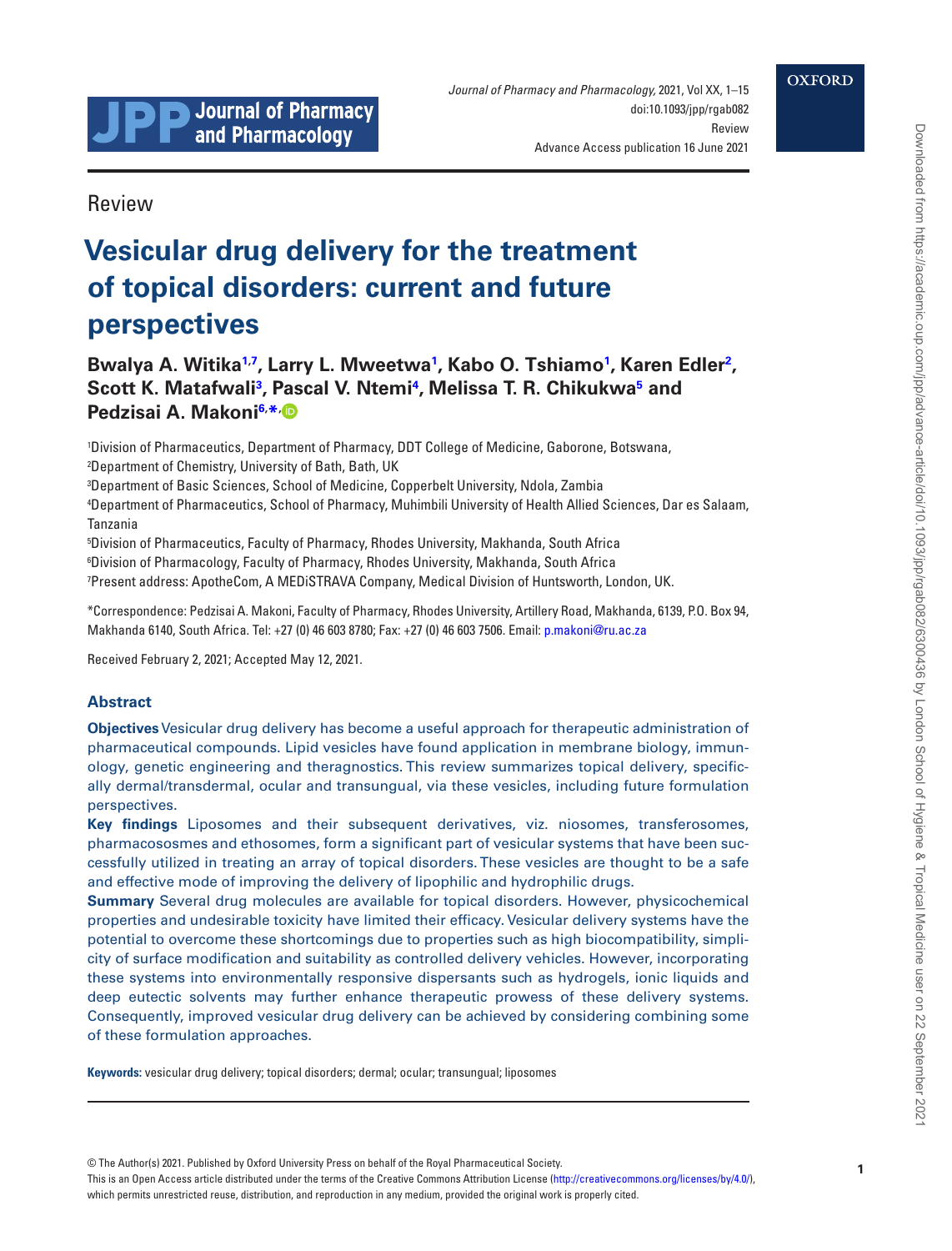

Advance Access publication 16 June 2021

Review

# **Vesicular drug delivery for the treatment of topical disorders: current and future perspectives**

## Bwalya A. Witika<sup>1[,7](#page-0-1)</sup>, Larry L. Mweetwa<sup>[1](#page-0-0)</sup>, Kabo O. Tshiamo<sup>1</sup>, Karen Edler<sup>[2](#page-0-2)</sup>, **Scott K. Matafwal[i3](#page-0-3) , Pascal V. Ntem[i4](#page-0-4) , Melissa T. R. Chikukw[a5](#page-0-5) and Pedzisai A. Makoni[6,](#page-0-6) [\\*](#page-0-7)[,](https://orcid.org/0000-0002-8475-447X)**

<span id="page-0-2"></span><span id="page-0-0"></span>1 Division of Pharmaceutics, Department of Pharmacy, DDT College of Medicine, Gaborone, Botswana, 2 Department of Chemistry, University of Bath, Bath, UK

<span id="page-0-3"></span>3 Department of Basic Sciences, School of Medicine, Copperbelt University, Ndola, Zambia

<span id="page-0-4"></span>4 Department of Pharmaceutics, School of Pharmacy, Muhimbili University of Health Allied Sciences, Dar es Salaam, Tanzania

<span id="page-0-6"></span><span id="page-0-5"></span>5 Division of Pharmaceutics, Faculty of Pharmacy, Rhodes University, Makhanda, South Africa 6 Division of Pharmacology, Faculty of Pharmacy, Rhodes University, Makhanda, South Africa

<span id="page-0-1"></span>7 Present address: ApotheCom, A MEDiSTRAVA Company, Medical Division of Huntsworth, London, UK.

<span id="page-0-7"></span>\*Correspondence: Pedzisai A. Makoni, Faculty of Pharmacy, Rhodes University, Artillery Road, Makhanda, 6139, P.O. Box 94, Makhanda 6140, South Africa. Tel: +27 (0) 46 603 8780; Fax: +27 (0) 46 603 7506. Email: [p.makoni@ru.ac.za](mailto:p.makoni@ru.ac.za?subject=)

Received February 2, 2021; Accepted May 12, 2021.

## **Abstract**

**Objectives** Vesicular drug delivery has become a useful approach for therapeutic administration of pharmaceutical compounds. Lipid vesicles have found application in membrane biology, immunology, genetic engineering and theragnostics. This review summarizes topical delivery, specifically dermal/transdermal, ocular and transungual, via these vesicles, including future formulation perspectives.

**Key findings** Liposomes and their subsequent derivatives, viz. niosomes, transferosomes, pharmacososmes and ethosomes, form a significant part of vesicular systems that have been successfully utilized in treating an array of topical disorders. These vesicles are thought to be a safe and effective mode of improving the delivery of lipophilic and hydrophilic drugs.

**Summary** Several drug molecules are available for topical disorders. However, physicochemical properties and undesirable toxicity have limited their efficacy. Vesicular delivery systems have the potential to overcome these shortcomings due to properties such as high biocompatibility, simplicity of surface modification and suitability as controlled delivery vehicles. However, incorporating these systems into environmentally responsive dispersants such as hydrogels, ionic liquids and deep eutectic solvents may further enhance therapeutic prowess of these delivery systems. Consequently, improved vesicular drug delivery can be achieved by considering combining some of these formulation approaches.

**Keywords:** vesicular drug delivery; topical disorders; dermal; ocular; transungual; liposomes

This is an Open Access article distributed under the terms of the Creative Commons Attribution License [\(http://creativecommons.org/licenses/by/4.0/](http://creativecommons.org/licenses/by/4.0/)), which permits unrestricted reuse, distribution, and reproduction in any medium, provided the original work is properly cited.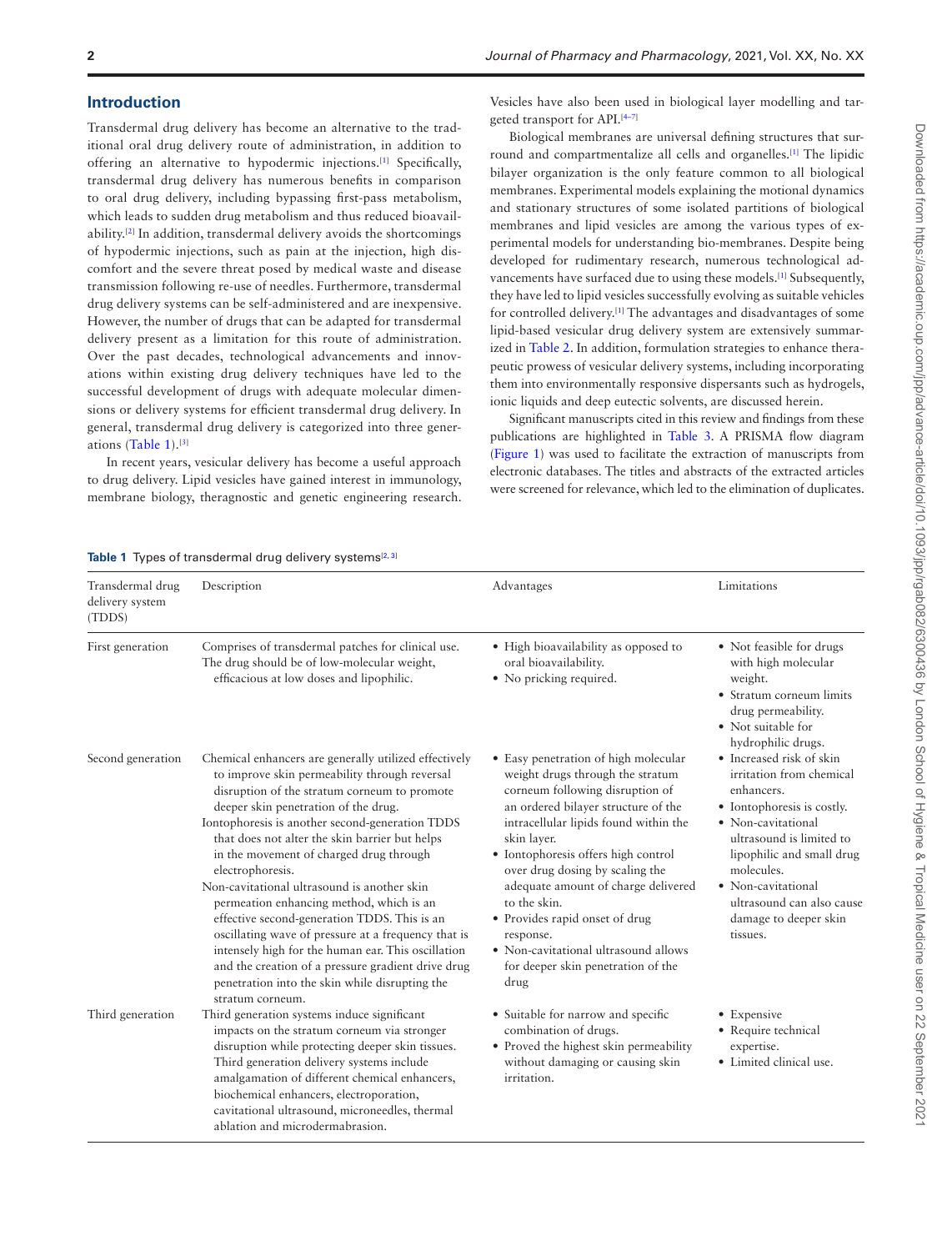#### **Introduction**

Transdermal drug delivery has become an alternative to the traditional oral drug delivery route of administration, in addition to offering an alternative to hypodermic injections.[\[1\]](#page-10-0) Specifically, transdermal drug delivery has numerous benefits in comparison to oral drug delivery, including bypassing first-pass metabolism, which leads to sudden drug metabolism and thus reduced bioavailability.[\[2\]](#page-10-1) In addition, transdermal delivery avoids the shortcomings of hypodermic injections, such as pain at the injection, high discomfort and the severe threat posed by medical waste and disease transmission following re-use of needles. Furthermore, transdermal drug delivery systems can be self-administered and are inexpensive. However, the number of drugs that can be adapted for transdermal delivery present as a limitation for this route of administration. Over the past decades, technological advancements and innovations within existing drug delivery techniques have led to the successful development of drugs with adequate molecular dimensions or delivery systems for efficient transdermal drug delivery. In general, transdermal drug delivery is categorized into three generations ([Table 1](#page-1-0)).[[3](#page-10-2)]

In recent years, vesicular delivery has become a useful approach to drug delivery. Lipid vesicles have gained interest in immunology, membrane biology, theragnostic and genetic engineering research.

Vesicles have also been used in biological layer modelling and targeted transport for API.[\[4–](#page-10-3)[7\]](#page-10-4)

Biological membranes are universal defining structures that sur-round and compartmentalize all cells and organelles.<sup>[[1](#page-10-0)]</sup> The lipidic bilayer organization is the only feature common to all biological membranes. Experimental models explaining the motional dynamics and stationary structures of some isolated partitions of biological membranes and lipid vesicles are among the various types of experimental models for understanding bio-membranes. Despite being developed for rudimentary research, numerous technological ad-vancements have surfaced due to using these models.<sup>[\[1\]](#page-10-0)</sup> Subsequently, they have led to lipid vesicles successfully evolving as suitable vehicles for controlled delivery.[\[1](#page-10-0)] The advantages and disadvantages of some lipid-based vesicular drug delivery system are extensively summarized in [Table 2.](#page-2-0) In addition, formulation strategies to enhance therapeutic prowess of vesicular delivery systems, including incorporating them into environmentally responsive dispersants such as hydrogels, ionic liquids and deep eutectic solvents, are discussed herein.

Significant manuscripts cited in this review and findings from these publications are highlighted in [Table 3.](#page-5-0) A PRISMA flow diagram [\(Figure 1\)](#page-6-0) was used to facilitate the extraction of manuscripts from electronic databases. The titles and abstracts of the extracted articles were screened for relevance, which led to the elimination of duplicates.

#### <span id="page-1-0"></span>**Table 1** Types of transdermal drug delivery systems<sup>[[2](#page-10-1), [3](#page-10-2)]</sup>

|                                               | <b>ROOT</b> Types of transacting anag actively systems                                                                                                                                                                                                                                                                                                                                                                                                                                                                                                                                                                                                                                                                                                 |                                                                                                                                                                                                                                                                                                                                                                                                                                                                                  |                                                                                                                                                                                                                                                                                       |
|-----------------------------------------------|--------------------------------------------------------------------------------------------------------------------------------------------------------------------------------------------------------------------------------------------------------------------------------------------------------------------------------------------------------------------------------------------------------------------------------------------------------------------------------------------------------------------------------------------------------------------------------------------------------------------------------------------------------------------------------------------------------------------------------------------------------|----------------------------------------------------------------------------------------------------------------------------------------------------------------------------------------------------------------------------------------------------------------------------------------------------------------------------------------------------------------------------------------------------------------------------------------------------------------------------------|---------------------------------------------------------------------------------------------------------------------------------------------------------------------------------------------------------------------------------------------------------------------------------------|
| Transdermal drug<br>delivery system<br>(TDDS) | Description                                                                                                                                                                                                                                                                                                                                                                                                                                                                                                                                                                                                                                                                                                                                            | Advantages                                                                                                                                                                                                                                                                                                                                                                                                                                                                       | Limitations                                                                                                                                                                                                                                                                           |
| First generation                              | Comprises of transdermal patches for clinical use.<br>The drug should be of low-molecular weight,<br>efficacious at low doses and lipophilic.                                                                                                                                                                                                                                                                                                                                                                                                                                                                                                                                                                                                          | • High bioavailability as opposed to<br>oral bioavailability.<br>• No pricking required.                                                                                                                                                                                                                                                                                                                                                                                         | • Not feasible for drugs<br>with high molecular<br>weight.<br>• Stratum corneum limits<br>drug permeability.<br>• Not suitable for<br>hydrophilic drugs.                                                                                                                              |
| Second generation                             | Chemical enhancers are generally utilized effectively<br>to improve skin permeability through reversal<br>disruption of the stratum corneum to promote<br>deeper skin penetration of the drug.<br>Iontophoresis is another second-generation TDDS<br>that does not alter the skin barrier but helps<br>in the movement of charged drug through<br>electrophoresis.<br>Non-cavitational ultrasound is another skin<br>permeation enhancing method, which is an<br>effective second-generation TDDS. This is an<br>oscillating wave of pressure at a frequency that is<br>intensely high for the human ear. This oscillation<br>and the creation of a pressure gradient drive drug<br>penetration into the skin while disrupting the<br>stratum corneum. | • Easy penetration of high molecular<br>weight drugs through the stratum<br>corneum following disruption of<br>an ordered bilayer structure of the<br>intracellular lipids found within the<br>skin layer.<br>• Iontophoresis offers high control<br>over drug dosing by scaling the<br>adequate amount of charge delivered<br>to the skin.<br>• Provides rapid onset of drug<br>response.<br>• Non-cavitational ultrasound allows<br>for deeper skin penetration of the<br>drug | • Increased risk of skin<br>irritation from chemical<br>enhancers.<br>• Iontophoresis is costly.<br>• Non-cavitational<br>ultrasound is limited to<br>lipophilic and small drug<br>molecules.<br>• Non-cavitational<br>ultrasound can also cause<br>damage to deeper skin<br>tissues. |
| Third generation                              | Third generation systems induce significant<br>impacts on the stratum corneum via stronger<br>disruption while protecting deeper skin tissues.<br>Third generation delivery systems include<br>amalgamation of different chemical enhancers,<br>biochemical enhancers, electroporation,<br>cavitational ultrasound, microneedles, thermal<br>ablation and microdermabrasion.                                                                                                                                                                                                                                                                                                                                                                           | • Suitable for narrow and specific<br>combination of drugs.<br>• Proved the highest skin permeability<br>without damaging or causing skin<br>irritation.                                                                                                                                                                                                                                                                                                                         | • Expensive<br>• Require technical<br>expertise.<br>• Limited clinical use.                                                                                                                                                                                                           |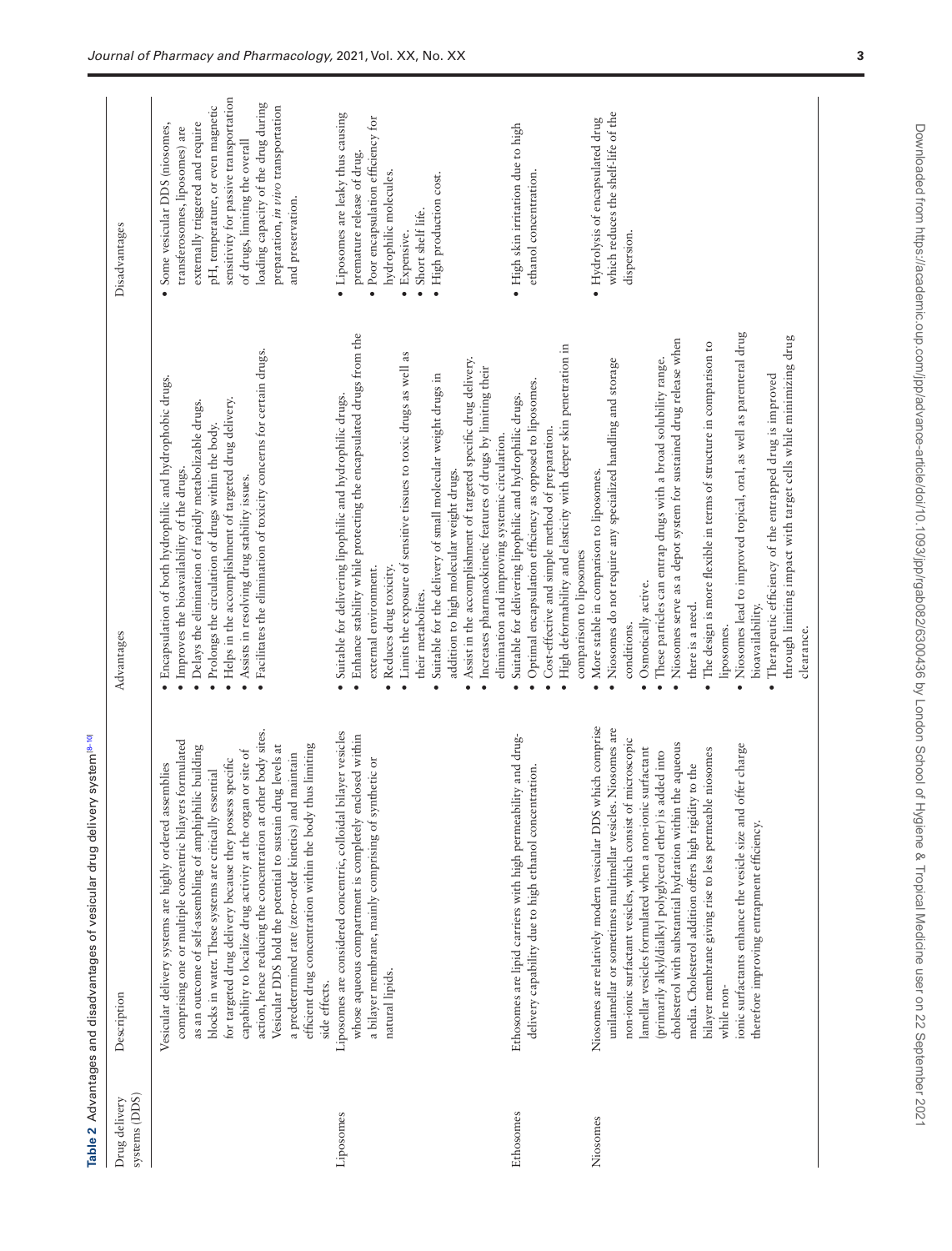<span id="page-2-0"></span>

|                                | Table 2 Advantages and disadvantages of vesicular drug delivery system is-10                                                                                                                                                                                                                                                                                                                                                                                                                                                                                                                                                                      |                                                                                                                                                                                                                                                                                                                                                                                                                                                                                                                                                                                                                                                                                               |                                                                                                                                                                                                                                                                                                                         |
|--------------------------------|---------------------------------------------------------------------------------------------------------------------------------------------------------------------------------------------------------------------------------------------------------------------------------------------------------------------------------------------------------------------------------------------------------------------------------------------------------------------------------------------------------------------------------------------------------------------------------------------------------------------------------------------------|-----------------------------------------------------------------------------------------------------------------------------------------------------------------------------------------------------------------------------------------------------------------------------------------------------------------------------------------------------------------------------------------------------------------------------------------------------------------------------------------------------------------------------------------------------------------------------------------------------------------------------------------------------------------------------------------------|-------------------------------------------------------------------------------------------------------------------------------------------------------------------------------------------------------------------------------------------------------------------------------------------------------------------------|
| systems (DDS)<br>Drug delivery | Description                                                                                                                                                                                                                                                                                                                                                                                                                                                                                                                                                                                                                                       | Advantages                                                                                                                                                                                                                                                                                                                                                                                                                                                                                                                                                                                                                                                                                    | Disadvantages                                                                                                                                                                                                                                                                                                           |
|                                | action, hence reducing the concentration at other body sites.<br>comprising one or multiple concentric bilayers formulated<br>efficient drug concentration within the body thus limiting<br>Vesicular DDS hold the potential to sustain drug levels at<br>as an outcome of self-assembling of amphiphilic building<br>capability to localize drug activity at the organ or site of<br>a predetermined rate (zero-order kinetics) and maintain<br>for targeted drug delivery because they possess specific<br>Vesicular delivery systems are highly ordered assemblies<br>blocks in water. These systems are critically essential<br>side effects. | Facilitates the elimination of toxicity concerns for certain drugs.<br>Encapsulation of both hydrophilic and hydrophobic drugs.<br>Helps in the accomplishment of targeted drug delivery.<br>Delays the elimination of rapidly metabolizable drugs.<br>Prolongs the circulation of drugs within the body.<br>Improves the bioavailability of the drugs.<br>Assists in resolving drug stability issues.<br>$\bullet$<br>$\bullet$<br>$\bullet$<br>$\bullet$                                                                                                                                                                                                                                    | sensitivity for passive transportation<br>loading capacity of the drug during<br>pH, temperature, or even magnetic<br>preparation, in vivo transportation<br>Some vesicular DDS (niosomes,<br>externally triggered and require<br>transferosomes, liposomes) are<br>of drugs, limiting the overall<br>and preservation. |
| Liposomes                      | bilayer vesicles<br>whose aqueous compartment is completely enclosed within<br>a bilayer membrane, mainly comprising of synthetic or<br>Liposomes are considered concentric, colloidal<br>natural lipids.                                                                                                                                                                                                                                                                                                                                                                                                                                         | Enhance stability while protecting the encapsulated drugs from the<br>Limits the exposure of sensitive tissues to toxic drugs as well as<br>Assist in the accomplishment of targeted specific drug delivery.<br>Increases pharmacokinetic features of drugs by limiting their<br>Suitable for the delivery of small molecular weight drugs in<br>Suitable for delivering lipophilic and hydrophilic drugs.<br>elimination and improving systemic circulation.<br>addition to high molecular weight drugs.<br>Reduces drug toxicity.<br>external environment.<br>their metabolites.<br>$\bullet$<br>$\bullet$<br>$\bullet$<br>$\bullet$                                                        | • Liposomes are leaky thus causing<br>· Poor encapsulation efficiency for<br>premature release of drug.<br>hydrophilic molecules.<br>· High production cost.<br>Short shelf life.<br>Expensive.<br>$\bullet$                                                                                                            |
| Ethosomes                      | Ethosomes are lipid carriers with high permeability and drug-<br>delivery capability due to high ethanol concentration.                                                                                                                                                                                                                                                                                                                                                                                                                                                                                                                           | High deformability and elasticity with deeper skin penetration in<br>Optimal encapsulation efficiency as opposed to liposomes.<br>Suitable for delivering lipophilic and hydrophilic drugs.<br>Cost-effective and simple method of preparation.<br>comparison to liposomes<br>$\bullet$<br>$\bullet$<br>$\bullet$                                                                                                                                                                                                                                                                                                                                                                             | · High skin irritation due to high<br>ethanol concentration.                                                                                                                                                                                                                                                            |
| Niosomes                       | Niosomes are relatively modern vesicular DDS which comprise<br>unilamellar or sometimes multimellar vesicles. Niosomes are<br>non-ionic surfactant vesicles, which consist of microscopic<br>cholesterol with substantial hydration within the aqueous<br>offer charge<br>lamellar vesicles formulated when a non-ionic surfactant<br>bilayer membrane giving rise to less permeable niosomes<br>(primarily alkyl/dialkyl polyglycerol ether) is added into<br>media. Cholesterol addition offers high rigidity to the<br>ionic surfactants enhance the vesicle size and<br>therefore improving entrapment efficiency.<br>while non-              | Niosomes lead to improved topical, oral, as well as parenteral drug<br>through limiting impact with target cells while minimizing drug<br>Niosomes serve as a depot system for sustained drug release when<br>The design is more flexible in terms of structure in comparison to<br>These particles can entrap drugs with a broad solubility range.<br>Niosomes do not require any specialized handling and storage<br>Therapeutic efficiency of the entrapped drug is improved<br>More stable in comparison to liposomes.<br>Osmotically active.<br>there is a need.<br>bioavailability.<br>conditions.<br>liposomes.<br>clearance.<br>$\bullet$<br>$\bullet$<br>$\bullet$<br>$\bullet$<br>٠ | which reduces the shelf-life of the<br>· Hydrolysis of encapsulated drug<br>dispersion.                                                                                                                                                                                                                                 |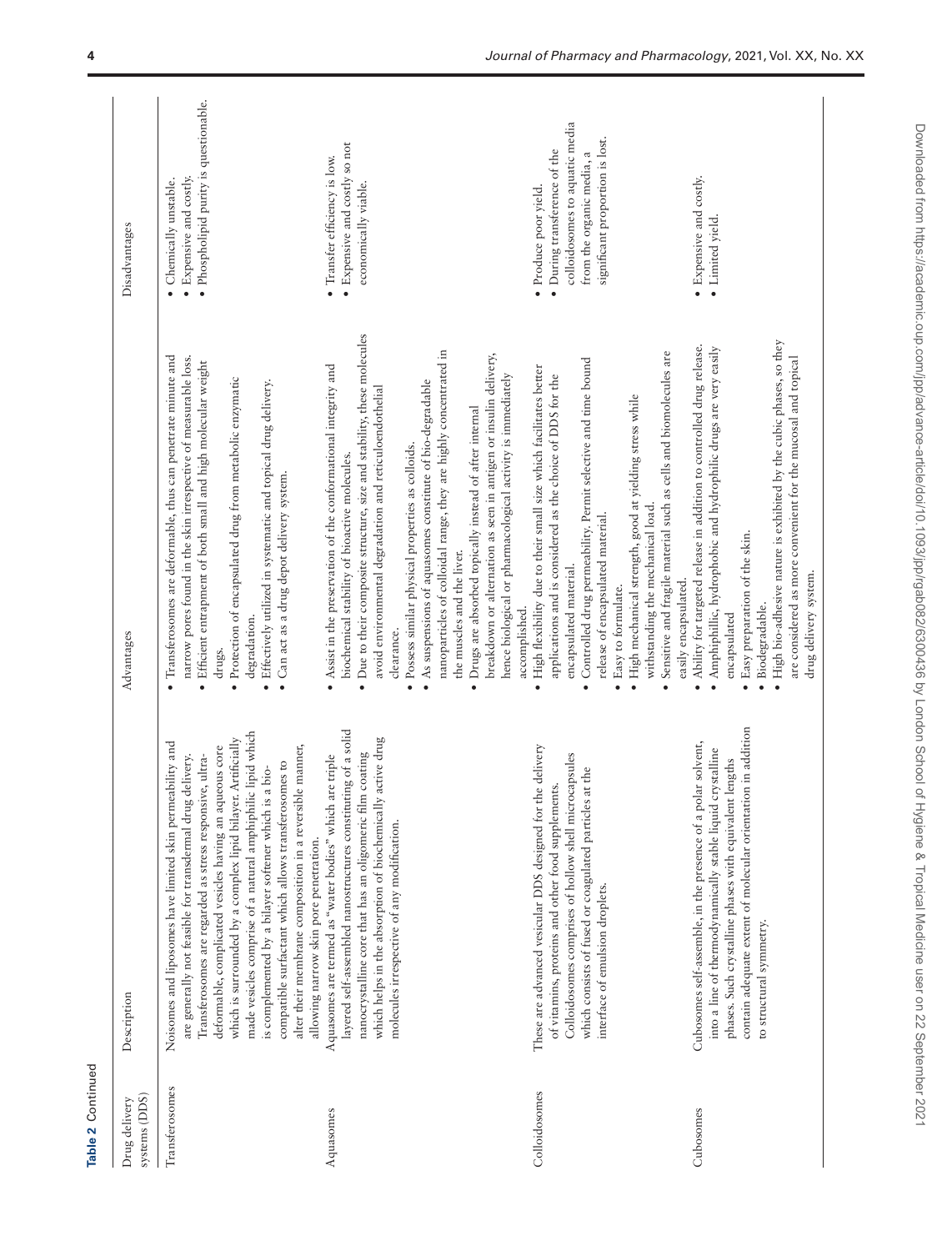| Table 2 Continued              |                                                                                                                                                                                                                                                                                                                                                                                                                                                                                                                                                               |                                                                                                                                                                                                                                                                                                                                                                                                                                                                                                                                                                                                                            |                                                                                                                                                         |
|--------------------------------|---------------------------------------------------------------------------------------------------------------------------------------------------------------------------------------------------------------------------------------------------------------------------------------------------------------------------------------------------------------------------------------------------------------------------------------------------------------------------------------------------------------------------------------------------------------|----------------------------------------------------------------------------------------------------------------------------------------------------------------------------------------------------------------------------------------------------------------------------------------------------------------------------------------------------------------------------------------------------------------------------------------------------------------------------------------------------------------------------------------------------------------------------------------------------------------------------|---------------------------------------------------------------------------------------------------------------------------------------------------------|
| systems (DDS)<br>Drug delivery | Description                                                                                                                                                                                                                                                                                                                                                                                                                                                                                                                                                   | Advantages                                                                                                                                                                                                                                                                                                                                                                                                                                                                                                                                                                                                                 | Disadvantages                                                                                                                                           |
| Transferosomes                 | made vesicles comprise of a natural amphiphilic lipid which<br>which is surrounded by a complex lipid bilayer. Artificially<br>Noisomes and liposomes have limited skin permeability and<br>ble manner,<br>deformable, complicated vesicles having an aqueous core<br>Transferosomes are regarded as stress responsive, ultra-<br>are generally not feasible for transdermal drug delivery.<br>compatible surfactant which allows transferosomes to<br>is complemented by a bilayer softener which is a bio-<br>alter their membrane composition in a reversi | Transferosomes are deformable, thus can penetrate minute and<br>narrow pores found in the skin irrespective of measurable loss.<br>· Efficient entrapment of both small and high molecular weight<br>Protection of encapsulated drug from metabolic enzymatic<br>Effectively utilized in systematic and topical drug delivery.<br>· Can act as a drug depot delivery system.<br>degradation.<br>drugs.<br>$\bullet$<br>$\bullet$                                                                                                                                                                                           | · Phospholipid purity is questionable.<br>• Expensive and costly.<br>· Chemically unstable.                                                             |
| Aquasomes                      | layered self-assembled nanostructures constituting of a solid<br>which helps in the absorption of biochemically active drug<br>nanocrystalline core that has an oligomeric film coating<br>are triple<br>Aquasomes are termed as "water bodies" which<br>molecules irrespective of any modification.<br>allowing narrow skin pore penetration.                                                                                                                                                                                                                | · Due to their composite structure, size and stability, these molecules<br>nanoparticles of colloidal range, they are highly concentrated in<br>breakdown or alternation as seen in antigen or insulin delivery,<br>Assist in the preservation of the conformational integrity and<br>• As suspensions of aquasomes constitute of bio-degradable<br>avoid environmental degradation and reticuloendothelial<br>• Drugs are absorbed topically instead of after internal<br>· Possess similar physical properties as colloids.<br>biochemical stability of bioactive molecules.<br>the muscles and the liver.<br>clearance. | • Expensive and costly so not<br>· Transfer efficiency is low.<br>economically viable.                                                                  |
| Colloidosomes                  | These are advanced vesicular DDS designed for the delivery<br>Colloidosomes comprises of hollow shell microcapsules<br>which consists of fused or coagulated particles at the<br>of vitamins, proteins and other food supplements.<br>interface of emulsion droplets.                                                                                                                                                                                                                                                                                         | Sensitive and fragile material such as cells and biomolecules are<br>Controlled drug permeability. Permit selective and time bound<br>· High flexibility due to their small size which facilitates better<br>hence biological or pharmacological activity is immediately<br>applications and is considered as the choice of DDS for the<br>· High mechanical strength, good at yielding stress while<br>withstanding the mechanical load.<br>release of encapsulated material.<br>encapsulated material.<br>· Easy to formulate.<br>accomplished.                                                                          | colloidosomes to aquatic media<br>significant proportion is lost.<br>• During transference of the<br>from the organic media, a<br>· Produce poor yield. |
| Cubosomes                      | contain adequate extent of molecular orientation in addition<br>Cubosomes self-assemble, in the presence of a polar solvent,<br>crystalline<br>phases. Such crystalline phases with equivalent lengths<br>into a line of thermodynamically stable liquid<br>to structural symmetry.                                                                                                                                                                                                                                                                           | • High bio-adhesive nature is exhibited by the cubic phases, so they<br>. Ability for targeted release in addition to controlled drug release.<br>Amphiphillic, hydrophobic and hydrophilic drugs are very easily<br>are considered as more convenient for the mucosal and topical<br>Easy preparation of the skin.<br>drug delivery system.<br>easily encapsulated.<br>· Biodegradable.<br>encapsulated                                                                                                                                                                                                                   | • Expensive and costly.<br>Limited yield.                                                                                                               |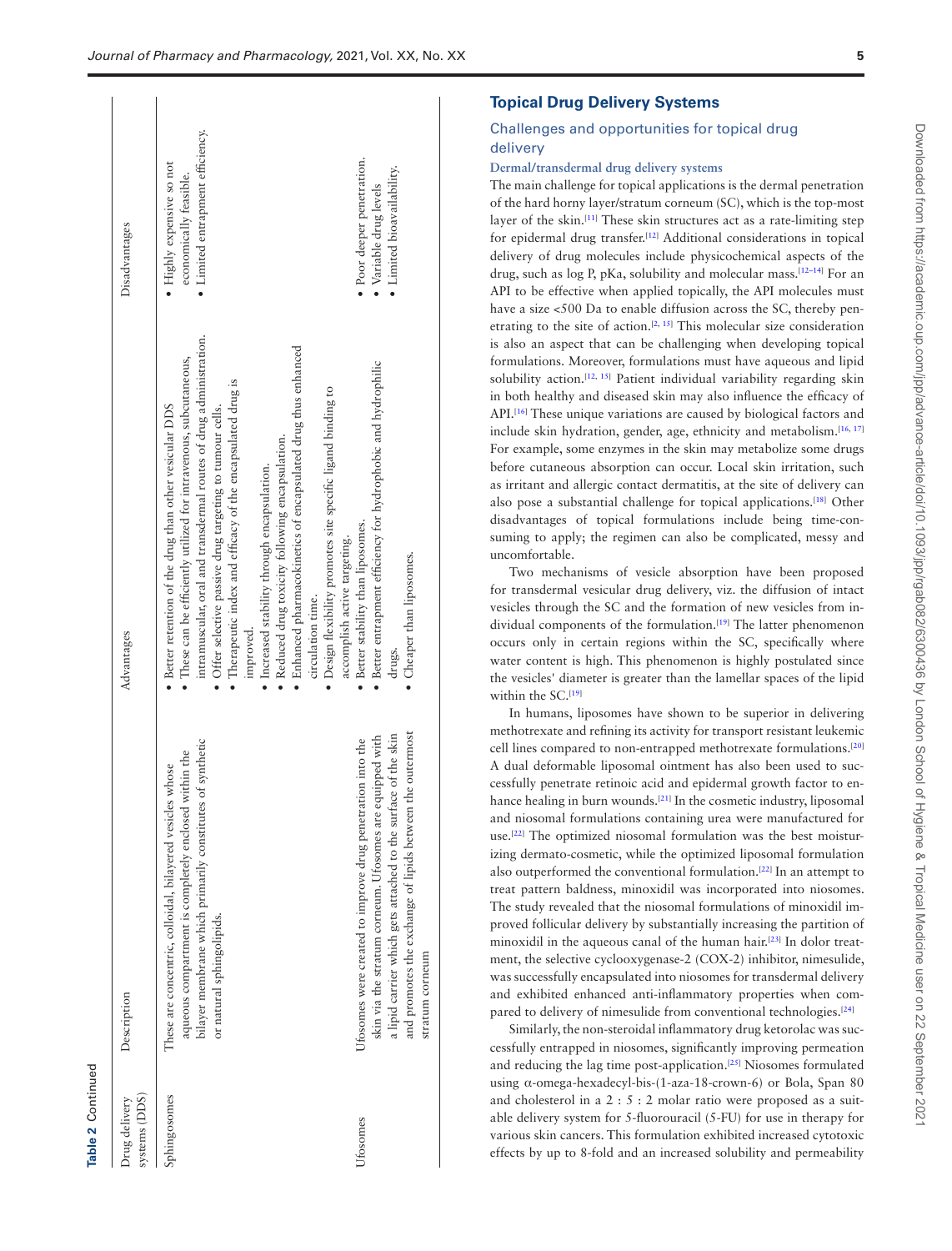| systems (DDS)<br>Sphingosomes<br>Drug delivery<br><b>Jtosomes</b> | bilayer membrane which primarily constitutes of synthetic<br>Ufosomes were created to improve drug penetration into the<br>aqueous compartment is completely enclosed within the<br>These are concentric, colloidal, bilayered vesicles whose<br>or natural sphingolipids.<br>Description | intramuscular, oral and transdermal routes of drug administration.<br>· Enhanced pharmacokinetics of encapsulated drug thus enhanced<br>These can be efficiently utilized for intravenous, subcutaneous,<br>Therapeutic index and efficacy of the encapsulated drug is<br>• Design flexibility promotes site specific ligand binding to<br>• Better retention of the drug than other vesicular DDS<br>· Offer selective passive drug targeting to tumour cells.<br>· Reduced drug toxicity following encapsulation.<br>· Increased stability through encapsulation.<br>• Better stability than liposomes.<br>accomplish active targeting.<br>circulation time.<br>improved.<br>Advantages | · Limited entrapment efficiency.<br>· Poor deeper penetration.<br>· Highly expensive so not<br>economically feasible.<br>Disadvantages |
|-------------------------------------------------------------------|-------------------------------------------------------------------------------------------------------------------------------------------------------------------------------------------------------------------------------------------------------------------------------------------|-------------------------------------------------------------------------------------------------------------------------------------------------------------------------------------------------------------------------------------------------------------------------------------------------------------------------------------------------------------------------------------------------------------------------------------------------------------------------------------------------------------------------------------------------------------------------------------------------------------------------------------------------------------------------------------------|----------------------------------------------------------------------------------------------------------------------------------------|
|                                                                   | between the outermost<br>a lipid carrier which gets attached to the surface of the skin<br>skin via the stratum corneum. Ufosomes are equipped with<br>and promotes the exchange of lipids h<br>stratum corneum                                                                           | • Better entrapment efficiency for hydrophobic and hydrophilic<br>• Cheaper than liposomes.<br>drugs.                                                                                                                                                                                                                                                                                                                                                                                                                                                                                                                                                                                     | • Limited bioavailability.<br>· Variable drug levels                                                                                   |

**Table 2** Continued

Table 2 Continued

## Challenges and opportunities for topical drug delivery

## **Dermal/transdermal drug delivery systems**

The main challenge for topical applications is the dermal penetration of the hard horny layer/stratum corneum (SC), which is the top-most layer of the skin.<sup>[\[11](#page-10-7)]</sup> These skin structures act as a rate-limiting step for epidermal drug transfer.[\[12\]](#page-10-8) Additional considerations in topical delivery of drug molecules include physicochemical aspects of the drug, such as log P, pKa, solubility and molecular mass.[\[12](#page-10-8)–[14\]](#page-11-0) For an API to be effective when applied topically, the API molecules must have a size <500 Da to enable diffusion across the SC, thereby pen-etrating to the site of action.<sup>[\[2,](#page-10-1) [15\]](#page-11-1)</sup> This molecular size consideration is also an aspect that can be challenging when developing topical formulations. Moreover, formulations must have aqueous and lipid solubility action.<sup>[\[12](#page-10-8), [15\]](#page-11-1)</sup> Patient individual variability regarding skin in both healthy and diseased skin may also influence the efficacy of API.<sup>[\[16](#page-11-2)]</sup> These unique variations are caused by biological factors and include skin hydration, gender, age, ethnicity and metabolism.<sup>[[16](#page-11-2), [17](#page-11-3)]</sup> For example, some enzymes in the skin may metabolize some drugs before cutaneous absorption can occur. Local skin irritation, such as irritant and allergic contact dermatitis, at the site of delivery can also pose a substantial challenge for topical applications.[\[18\]](#page-11-4) Other disadvantages of topical formulations include being time-consuming to apply; the regimen can also be complicated, messy and uncomfortable.

Two mechanisms of vesicle absorption have been proposed for transdermal vesicular drug delivery, viz. the diffusion of intact vesicles through the SC and the formation of new vesicles from in-dividual components of the formulation.<sup>[[19](#page-11-5)]</sup> The latter phenomenon occurs only in certain regions within the SC, specifically where water content is high. This phenomenon is highly postulated since the vesicles' diameter is greater than the lamellar spaces of the lipid within the SC.<sup>[[19\]](#page-11-5)</sup>

In humans, liposomes have shown to be superior in delivering methotrexate and refining its activity for transport resistant leukemic cell lines compared to non-entrapped methotrexate formulations.[[20](#page-11-6)] A dual deformable liposomal ointment has also been used to successfully penetrate retinoic acid and epidermal growth factor to en-hance healing in burn wounds.<sup>[\[21](#page-11-7)]</sup> In the cosmetic industry, liposomal and niosomal formulations containing urea were manufactured for use.[[22\]](#page-11-8) The optimized niosomal formulation was the best moisturizing dermato-cosmetic, while the optimized liposomal formulation also outperformed the conventional formulation.[\[22\]](#page-11-8) In an attempt to treat pattern baldness, minoxidil was incorporated into niosomes. The study revealed that the niosomal formulations of minoxidil improved follicular delivery by substantially increasing the partition of minoxidil in the aqueous canal of the human hair.<sup>[\[23](#page-11-9)]</sup> In dolor treatment, the selective cyclooxygenase-2 (COX-2) inhibitor, nimesulide, was successfully encapsulated into niosomes for transdermal delivery and exhibited enhanced anti-inflammatory properties when compared to delivery of nimesulide from conventional technologies.[[24\]](#page-11-10)

Similarly, the non-steroidal inflammatory drug ketorolac was successfully entrapped in niosomes, significantly improving permeation and reducing the lag time post-application.[[25\]](#page-11-11) Niosomes formulated using α-omega-hexadecyl-bis-(1-aza-18-crown-6) or Bola, Span 80 and cholesterol in a 2 : 5 : 2 molar ratio were proposed as a suitable delivery system for 5-fluorouracil (5-FU) for use in therapy for various skin cancers. This formulation exhibited increased cytotoxic effects by up to 8-fold and an increased solubility and permeability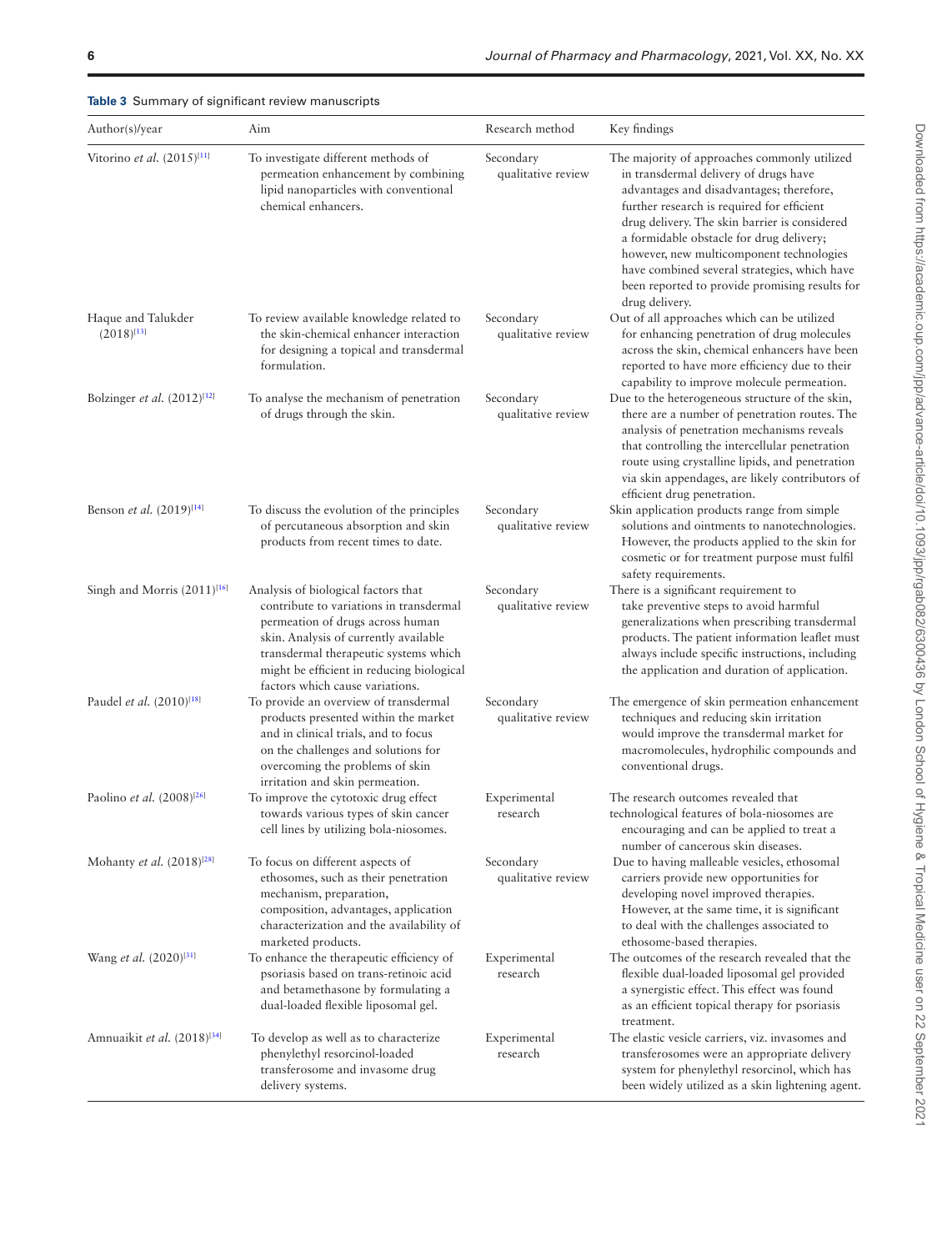| <b>Rable 3</b> Summary or signmeant review manuscripts<br>Author(s)/year | Aim                                                                                                                                                                                                                                                                                  | Research method                 | Key findings                                                                                                                                                                                                                                                                                                                                                                                                                                 |
|--------------------------------------------------------------------------|--------------------------------------------------------------------------------------------------------------------------------------------------------------------------------------------------------------------------------------------------------------------------------------|---------------------------------|----------------------------------------------------------------------------------------------------------------------------------------------------------------------------------------------------------------------------------------------------------------------------------------------------------------------------------------------------------------------------------------------------------------------------------------------|
|                                                                          |                                                                                                                                                                                                                                                                                      |                                 |                                                                                                                                                                                                                                                                                                                                                                                                                                              |
| Vitorino et al. (2015) <sup>[11]</sup>                                   | To investigate different methods of<br>permeation enhancement by combining<br>lipid nanoparticles with conventional<br>chemical enhancers.                                                                                                                                           | Secondary<br>qualitative review | The majority of approaches commonly utilized<br>in transdermal delivery of drugs have<br>advantages and disadvantages; therefore,<br>further research is required for efficient<br>drug delivery. The skin barrier is considered<br>a formidable obstacle for drug delivery;<br>however, new multicomponent technologies<br>have combined several strategies, which have<br>been reported to provide promising results for<br>drug delivery. |
| Haque and Talukder<br>$(2018)^{[13]}$                                    | To review available knowledge related to<br>the skin-chemical enhancer interaction<br>for designing a topical and transdermal<br>formulation.                                                                                                                                        | Secondary<br>qualitative review | Out of all approaches which can be utilized<br>for enhancing penetration of drug molecules<br>across the skin, chemical enhancers have been<br>reported to have more efficiency due to their<br>capability to improve molecule permeation.                                                                                                                                                                                                   |
| Bolzinger et al. $(2012)^{[12]}$                                         | To analyse the mechanism of penetration<br>of drugs through the skin.                                                                                                                                                                                                                | Secondary<br>qualitative review | Due to the heterogeneous structure of the skin,<br>there are a number of penetration routes. The<br>analysis of penetration mechanisms reveals<br>that controlling the intercellular penetration<br>route using crystalline lipids, and penetration<br>via skin appendages, are likely contributors of<br>efficient drug penetration.                                                                                                        |
| Benson et al. $(2019)^{[14]}$                                            | To discuss the evolution of the principles<br>of percutaneous absorption and skin<br>products from recent times to date.                                                                                                                                                             | Secondary<br>qualitative review | Skin application products range from simple<br>solutions and ointments to nanotechnologies.<br>However, the products applied to the skin for<br>cosmetic or for treatment purpose must fulfil<br>safety requirements.                                                                                                                                                                                                                        |
| Singh and Morris $(2011)^{16}$                                           | Analysis of biological factors that<br>contribute to variations in transdermal<br>permeation of drugs across human<br>skin. Analysis of currently available<br>transdermal therapeutic systems which<br>might be efficient in reducing biological<br>factors which cause variations. | Secondary<br>qualitative review | There is a significant requirement to<br>take preventive steps to avoid harmful<br>generalizations when prescribing transdermal<br>products. The patient information leaflet must<br>always include specific instructions, including<br>the application and duration of application.                                                                                                                                                         |
| Paudel et al. (2010) <sup>[18]</sup>                                     | To provide an overview of transdermal<br>products presented within the market<br>and in clinical trials, and to focus<br>on the challenges and solutions for<br>overcoming the problems of skin<br>irritation and skin permeation.                                                   | Secondary<br>qualitative review | The emergence of skin permeation enhancement<br>techniques and reducing skin irritation<br>would improve the transdermal market for<br>macromolecules, hydrophilic compounds and<br>conventional drugs.                                                                                                                                                                                                                                      |
| Paolino et al. $(2008)^{[26]}$                                           | To improve the cytotoxic drug effect<br>towards various types of skin cancer<br>cell lines by utilizing bola-niosomes.                                                                                                                                                               | Experimental<br>research        | The research outcomes revealed that<br>technological features of bola-niosomes are<br>encouraging and can be applied to treat a<br>number of cancerous skin diseases.                                                                                                                                                                                                                                                                        |
| Mohanty et al. $(2018)^{[28]}$                                           | To focus on different aspects of<br>ethosomes, such as their penetration<br>mechanism, preparation,<br>composition, advantages, application<br>characterization and the availability of<br>marketed products.                                                                        | Secondary<br>qualitative review | Due to having malleable vesicles, ethosomal<br>carriers provide new opportunities for<br>developing novel improved therapies.<br>However, at the same time, it is significant<br>to deal with the challenges associated to<br>ethosome-based therapies.                                                                                                                                                                                      |
| Wang et al. (2020) <sup>[31]</sup>                                       | To enhance the therapeutic efficiency of<br>psoriasis based on trans-retinoic acid<br>and betamethasone by formulating a<br>dual-loaded flexible liposomal gel.                                                                                                                      | Experimental<br>research        | The outcomes of the research revealed that the<br>flexible dual-loaded liposomal gel provided<br>a synergistic effect. This effect was found<br>as an efficient topical therapy for psoriasis<br>treatment.                                                                                                                                                                                                                                  |
| Amnuaikit et al. (2018) <sup>[34]</sup>                                  | To develop as well as to characterize<br>phenylethyl resorcinol-loaded<br>transferosome and invasome drug<br>delivery systems.                                                                                                                                                       | Experimental<br>research        | The elastic vesicle carriers, viz. invasomes and<br>transferosomes were an appropriate delivery<br>system for phenylethyl resorcinol, which has<br>been widely utilized as a skin lightening agent.                                                                                                                                                                                                                                          |

<span id="page-5-0"></span>**Table 3** Summary of significant review manuscripts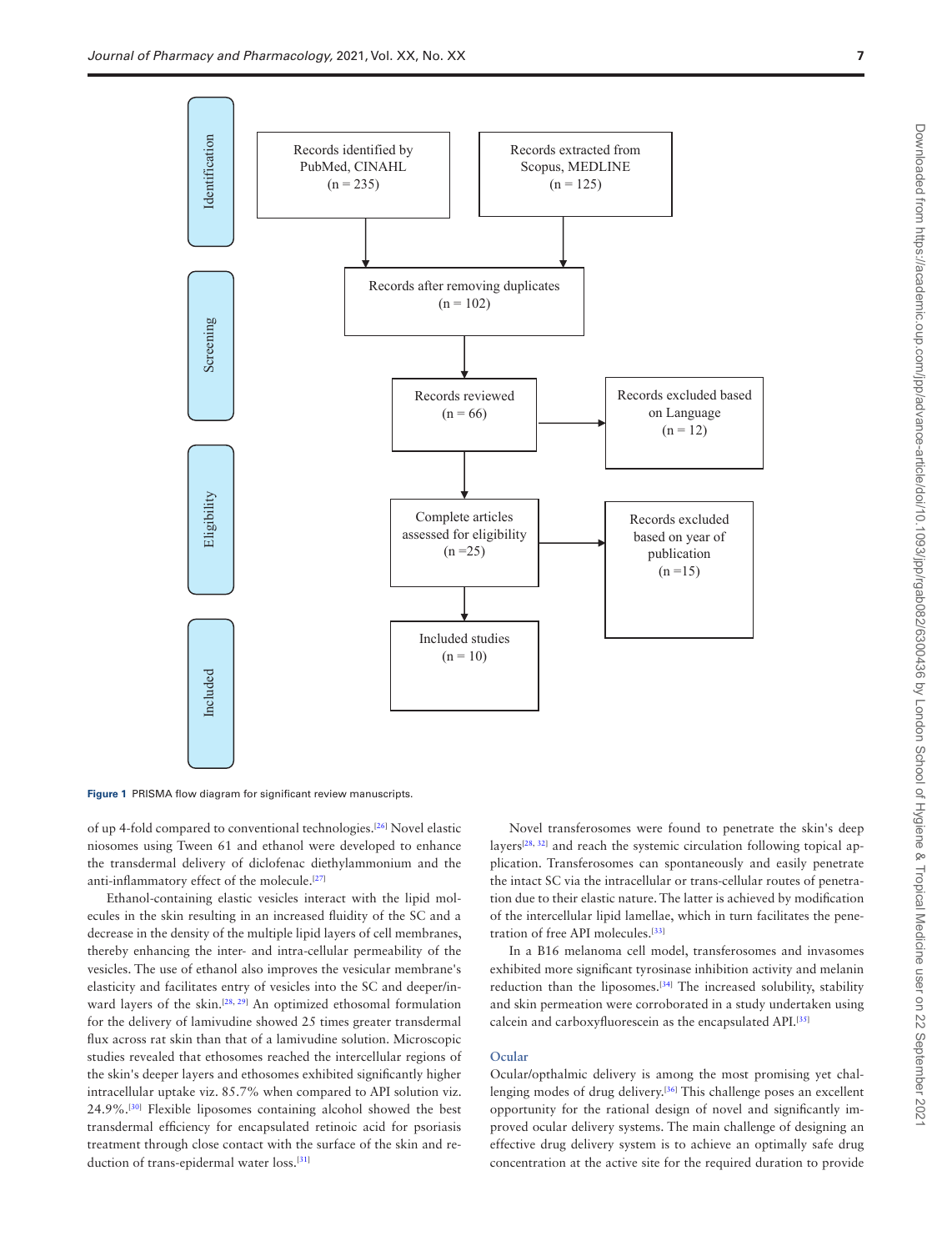

<span id="page-6-0"></span>**Figure 1** PRISMA flow diagram for significant review manuscripts.

of up 4-fold compared to conventional technologies.<sup>[[26\]](#page-11-13)</sup> Novel elastic niosomes using Tween 61 and ethanol were developed to enhance the transdermal delivery of diclofenac diethylammonium and the anti-inflammatory effect of the molecule.<sup>[\[27](#page-11-17)]</sup>

Ethanol-containing elastic vesicles interact with the lipid molecules in the skin resulting in an increased fluidity of the SC and a decrease in the density of the multiple lipid layers of cell membranes, thereby enhancing the inter- and intra-cellular permeability of the vesicles. The use of ethanol also improves the vesicular membrane's elasticity and facilitates entry of vesicles into the SC and deeper/in-ward layers of the skin.<sup>[\[28,](#page-11-14) [29\]](#page-11-18)</sup> An optimized ethosomal formulation for the delivery of lamivudine showed 25 times greater transdermal flux across rat skin than that of a lamivudine solution. Microscopic studies revealed that ethosomes reached the intercellular regions of the skin's deeper layers and ethosomes exhibited significantly higher intracellular uptake viz. 85.7% when compared to API solution viz. 24.9%.[[30](#page-11-19)] Flexible liposomes containing alcohol showed the best transdermal efficiency for encapsulated retinoic acid for psoriasis treatment through close contact with the surface of the skin and re-duction of trans-epidermal water loss.<sup>[\[31\]](#page-11-15)</sup>

Novel transferosomes were found to penetrate the skin's deep layers<sup>[\[28](#page-11-14), [32](#page-11-20)]</sup> and reach the systemic circulation following topical application. Transferosomes can spontaneously and easily penetrate the intact SC via the intracellular or trans-cellular routes of penetration due to their elastic nature. The latter is achieved by modification of the intercellular lipid lamellae, which in turn facilitates the penetration of free API molecules.[\[33](#page-11-21)]

In a B16 melanoma cell model, transferosomes and invasomes exhibited more significant tyrosinase inhibition activity and melanin reduction than the liposomes.[\[34](#page-11-16)] The increased solubility, stability and skin permeation were corroborated in a study undertaken using calcein and carboxyfluorescein as the encapsulated API.[[35](#page-11-22)]

#### **Ocular**

Ocular/opthalmic delivery is among the most promising yet chal-lenging modes of drug delivery.<sup>[\[36](#page-11-23)]</sup> This challenge poses an excellent opportunity for the rational design of novel and significantly improved ocular delivery systems. The main challenge of designing an effective drug delivery system is to achieve an optimally safe drug concentration at the active site for the required duration to provide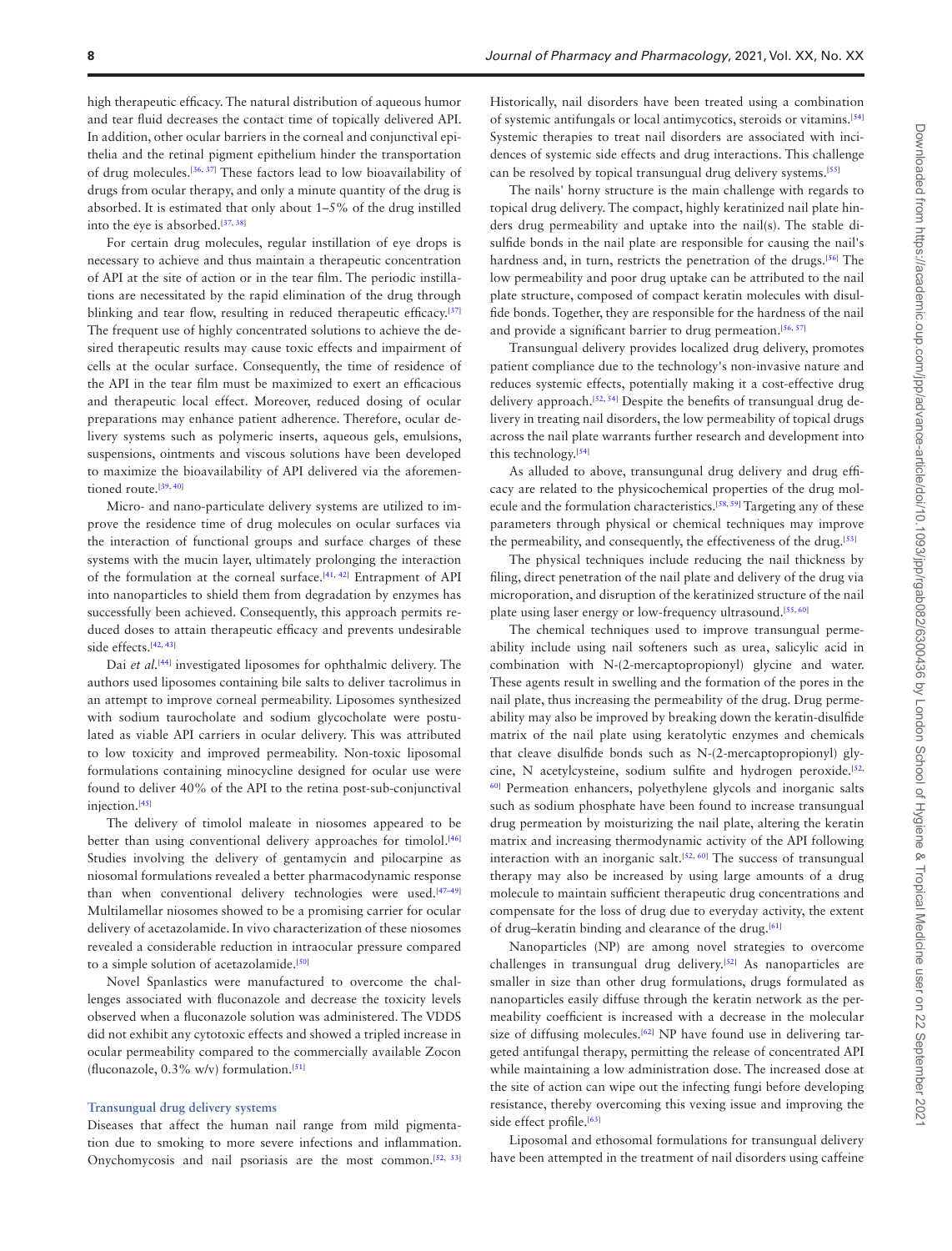high therapeutic efficacy. The natural distribution of aqueous humor and tear fluid decreases the contact time of topically delivered API. In addition, other ocular barriers in the corneal and conjunctival epithelia and the retinal pigment epithelium hinder the transportation of drug molecules.[[36,](#page-11-23) [37\]](#page-11-24) These factors lead to low bioavailability of drugs from ocular therapy, and only a minute quantity of the drug is absorbed. It is estimated that only about 1–5% of the drug instilled into the eye is absorbed.[[37,](#page-11-24) [38\]](#page-11-25)

For certain drug molecules, regular instillation of eye drops is necessary to achieve and thus maintain a therapeutic concentration of API at the site of action or in the tear film. The periodic instillations are necessitated by the rapid elimination of the drug through blinking and tear flow, resulting in reduced therapeutic efficacy.<sup>[[37](#page-11-24)]</sup> The frequent use of highly concentrated solutions to achieve the desired therapeutic results may cause toxic effects and impairment of cells at the ocular surface. Consequently, the time of residence of the API in the tear film must be maximized to exert an efficacious and therapeutic local effect. Moreover, reduced dosing of ocular preparations may enhance patient adherence. Therefore, ocular delivery systems such as polymeric inserts, aqueous gels, emulsions, suspensions, ointments and viscous solutions have been developed to maximize the bioavailability of API delivered via the aforemen-tioned route.<sup>[[39,](#page-11-26) [40](#page-11-27)]</sup>

Micro- and nano-particulate delivery systems are utilized to improve the residence time of drug molecules on ocular surfaces via the interaction of functional groups and surface charges of these systems with the mucin layer, ultimately prolonging the interaction of the formulation at the corneal surface. $[41, 42]$  $[41, 42]$  $[41, 42]$  $[41, 42]$  $[41, 42]$  Entrapment of API into nanoparticles to shield them from degradation by enzymes has successfully been achieved. Consequently, this approach permits reduced doses to attain therapeutic efficacy and prevents undesirable side effects.<sup>[[42,](#page-11-29) [43\]](#page-11-30)</sup>

Dai *et al.*<sup>[[44\]](#page-11-31)</sup> investigated liposomes for ophthalmic delivery. The authors used liposomes containing bile salts to deliver tacrolimus in an attempt to improve corneal permeability. Liposomes synthesized with sodium taurocholate and sodium glycocholate were postulated as viable API carriers in ocular delivery. This was attributed to low toxicity and improved permeability. Non-toxic liposomal formulations containing minocycline designed for ocular use were found to deliver 40% of the API to the retina post-sub-conjunctival injection.<sup>[\[45](#page-11-32)]</sup>

The delivery of timolol maleate in niosomes appeared to be better than using conventional delivery approaches for timolol.<sup>[[46](#page-11-33)]</sup> Studies involving the delivery of gentamycin and pilocarpine as niosomal formulations revealed a better pharmacodynamic response than when conventional delivery technologies were used.<sup>[47-[49](#page-11-35)]</sup> Multilamellar niosomes showed to be a promising carrier for ocular delivery of acetazolamide. In vivo characterization of these niosomes revealed a considerable reduction in intraocular pressure compared to a simple solution of acetazolamide.<sup>[[50](#page-11-36)]</sup>

Novel Spanlastics were manufactured to overcome the challenges associated with fluconazole and decrease the toxicity levels observed when a fluconazole solution was administered. The VDDS did not exhibit any cytotoxic effects and showed a tripled increase in ocular permeability compared to the commercially available Zocon (fluconazole,  $0.3\%$  w/v) formulation.<sup>[\[51\]](#page-11-37)</sup>

#### **Transungual drug delivery systems**

Diseases that affect the human nail range from mild pigmentation due to smoking to more severe infections and inflammation. Onychomycosis and nail psoriasis are the most common.<sup>[[52,](#page-11-38) [53](#page-11-39)]</sup>

Historically, nail disorders have been treated using a combination of systemic antifungals or local antimycotics, steroids or vitamins.[[54](#page-12-0)] Systemic therapies to treat nail disorders are associated with incidences of systemic side effects and drug interactions. This challenge can be resolved by topical transungual drug delivery systems.[[55](#page-12-1)]

The nails' horny structure is the main challenge with regards to topical drug delivery. The compact, highly keratinized nail plate hinders drug permeability and uptake into the nail(s). The stable disulfide bonds in the nail plate are responsible for causing the nail's hardness and, in turn, restricts the penetration of the drugs.<sup>[\[56](#page-12-2)]</sup> The low permeability and poor drug uptake can be attributed to the nail plate structure, composed of compact keratin molecules with disulfide bonds. Together, they are responsible for the hardness of the nail and provide a significant barrier to drug permeation.<sup>[\[56](#page-12-2), [57\]](#page-12-3)</sup>

Transungual delivery provides localized drug delivery, promotes patient compliance due to the technology's non-invasive nature and reduces systemic effects, potentially making it a cost-effective drug delivery approach.<sup>[\[52,](#page-11-38) [54](#page-12-0)]</sup> Despite the benefits of transungual drug delivery in treating nail disorders, the low permeability of topical drugs across the nail plate warrants further research and development into this technology.[\[54](#page-12-0)]

As alluded to above, transungunal drug delivery and drug efficacy are related to the physicochemical properties of the drug mol-ecule and the formulation characteristics.<sup>[\[58,](#page-12-4)[59](#page-12-5)]</sup> Targeting any of these parameters through physical or chemical techniques may improve the permeability, and consequently, the effectiveness of the drug.<sup>[\[53](#page-11-39)]</sup>

The physical techniques include reducing the nail thickness by filing, direct penetration of the nail plate and delivery of the drug via microporation, and disruption of the keratinized structure of the nail plate using laser energy or low-frequency ultrasound.[[55,](#page-12-1) [60\]](#page-12-6)

The chemical techniques used to improve transungual permeability include using nail softeners such as urea, salicylic acid in combination with N-(2-mercaptopropionyl) glycine and water. These agents result in swelling and the formation of the pores in the nail plate, thus increasing the permeability of the drug. Drug permeability may also be improved by breaking down the keratin-disulfide matrix of the nail plate using keratolytic enzymes and chemicals that cleave disulfide bonds such as N-(2-mercaptopropionyl) gly-cine, N acetylcysteine, sodium sulfite and hydrogen peroxide.<sup>[\[52,](#page-11-38)</sup> [60\]](#page-12-6) Permeation enhancers, polyethylene glycols and inorganic salts such as sodium phosphate have been found to increase transungual drug permeation by moisturizing the nail plate, altering the keratin matrix and increasing thermodynamic activity of the API following interaction with an inorganic salt.<sup>[\[52](#page-11-38), [60\]](#page-12-6)</sup> The success of transungual therapy may also be increased by using large amounts of a drug molecule to maintain sufficient therapeutic drug concentrations and compensate for the loss of drug due to everyday activity, the extent of drug-keratin binding and clearance of the drug.<sup>[\[61\]](#page-12-7)</sup>

Nanoparticles (NP) are among novel strategies to overcome challenges in transungual drug delivery.[\[52](#page-11-38)] As nanoparticles are smaller in size than other drug formulations, drugs formulated as nanoparticles easily diffuse through the keratin network as the permeability coefficient is increased with a decrease in the molecular size of diffusing molecules.<sup>[[62\]](#page-12-8)</sup> NP have found use in delivering targeted antifungal therapy, permitting the release of concentrated API while maintaining a low administration dose. The increased dose at the site of action can wipe out the infecting fungi before developing resistance, thereby overcoming this vexing issue and improving the side effect profile.<sup>[\[63](#page-12-9)]</sup>

Liposomal and ethosomal formulations for transungual delivery have been attempted in the treatment of nail disorders using caffeine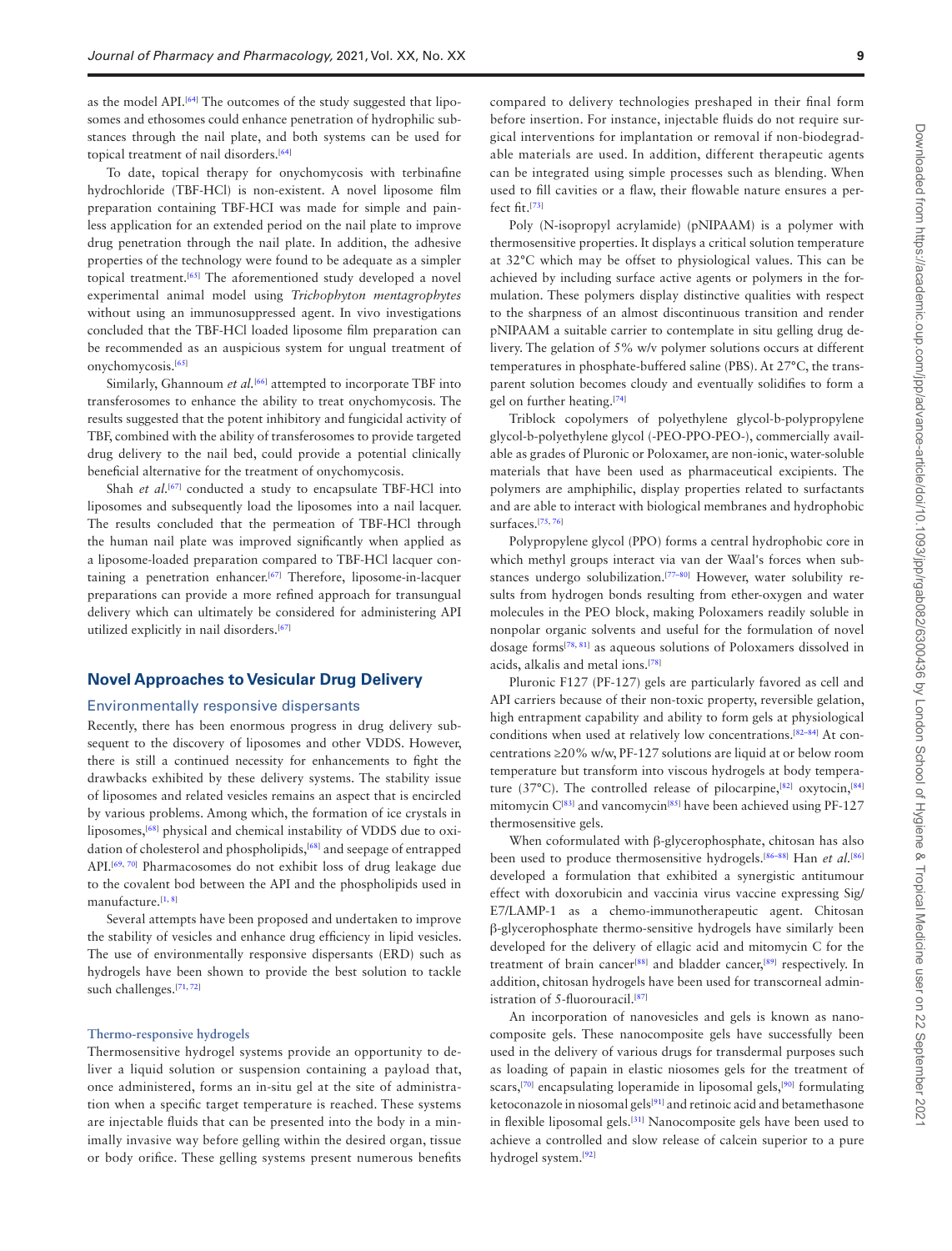as the model API.<sup>[\[64\]](#page-12-10)</sup> The outcomes of the study suggested that liposomes and ethosomes could enhance penetration of hydrophilic substances through the nail plate, and both systems can be used for topical treatment of nail disorders.<sup>[[64\]](#page-12-10)</sup>

To date, topical therapy for onychomycosis with terbinafine hydrochloride (TBF-HCl) is non-existent. A novel liposome film preparation containing TBF-HCI was made for simple and painless application for an extended period on the nail plate to improve drug penetration through the nail plate. In addition, the adhesive properties of the technology were found to be adequate as a simpler topical treatment.[[65\]](#page-12-11) The aforementioned study developed a novel experimental animal model using *Trichophyton mentagrophytes* without using an immunosuppressed agent. In vivo investigations concluded that the TBF-HCl loaded liposome film preparation can be recommended as an auspicious system for ungual treatment of onychomycosis.[[65](#page-12-11)]

Similarly, Ghannoum *et al.*[[66\]](#page-12-12) attempted to incorporate TBF into transferosomes to enhance the ability to treat onychomycosis. The results suggested that the potent inhibitory and fungicidal activity of TBF, combined with the ability of transferosomes to provide targeted drug delivery to the nail bed, could provide a potential clinically beneficial alternative for the treatment of onychomycosis.

Shah *et al.*<sup>[[67\]](#page-12-13)</sup> conducted a study to encapsulate TBF-HCl into liposomes and subsequently load the liposomes into a nail lacquer. The results concluded that the permeation of TBF-HCl through the human nail plate was improved significantly when applied as a liposome-loaded preparation compared to TBF-HCl lacquer con-taining a penetration enhancer.<sup>[\[67](#page-12-13)]</sup> Therefore, liposome-in-lacquer preparations can provide a more refined approach for transungual delivery which can ultimately be considered for administering API utilized explicitly in nail disorders.[\[67\]](#page-12-13)

#### **Novel Approaches to Vesicular Drug Delivery**

#### Environmentally responsive dispersants

Recently, there has been enormous progress in drug delivery subsequent to the discovery of liposomes and other VDDS. However, there is still a continued necessity for enhancements to fight the drawbacks exhibited by these delivery systems. The stability issue of liposomes and related vesicles remains an aspect that is encircled by various problems. Among which, the formation of ice crystals in liposomes,<sup>[[68\]](#page-12-14)</sup> physical and chemical instability of VDDS due to oxi-dation of cholesterol and phospholipids,<sup>[[68\]](#page-12-14)</sup> and seepage of entrapped API.<sup>[\[69](#page-12-15), [70\]](#page-12-16)</sup> Pharmacosomes do not exhibit loss of drug leakage due to the covalent bod between the API and the phospholipids used in manufacture.<sup>[[1,](#page-10-0) [8\]](#page-10-5)</sup>

Several attempts have been proposed and undertaken to improve the stability of vesicles and enhance drug efficiency in lipid vesicles. The use of environmentally responsive dispersants (ERD) such as hydrogels have been shown to provide the best solution to tackle such challenges.[\[71](#page-12-17), [72](#page-12-18)]

#### **Thermo-responsive hydrogels**

Thermosensitive hydrogel systems provide an opportunity to deliver a liquid solution or suspension containing a payload that, once administered, forms an in-situ gel at the site of administration when a specific target temperature is reached. These systems are injectable fluids that can be presented into the body in a minimally invasive way before gelling within the desired organ, tissue or body orifice. These gelling systems present numerous benefits

compared to delivery technologies preshaped in their final form before insertion. For instance, injectable fluids do not require surgical interventions for implantation or removal if non-biodegradable materials are used. In addition, different therapeutic agents can be integrated using simple processes such as blending. When used to fill cavities or a flaw, their flowable nature ensures a perfect fit.[\[73\]](#page-12-19)

Poly (N-isopropyl acrylamide) (pNIPAAM) is a polymer with thermosensitive properties. It displays a critical solution temperature at 32°C which may be offset to physiological values. This can be achieved by including surface active agents or polymers in the formulation. These polymers display distinctive qualities with respect to the sharpness of an almost discontinuous transition and render pNIPAAM a suitable carrier to contemplate in situ gelling drug delivery. The gelation of 5% w/v polymer solutions occurs at different temperatures in phosphate-buffered saline (PBS). At 27°C, the transparent solution becomes cloudy and eventually solidifies to form a gel on further heating.[\[74](#page-12-20)]

Triblock copolymers of polyethylene glycol-b-polypropylene glycol-b-polyethylene glycol (-PEO-PPO-PEO-), commercially available as grades of Pluronic or Poloxamer, are non-ionic, water-soluble materials that have been used as pharmaceutical excipients. The polymers are amphiphilic, display properties related to surfactants and are able to interact with biological membranes and hydrophobic surfaces.[[75](#page-12-21), [76\]](#page-12-22)

Polypropylene glycol (PPO) forms a central hydrophobic core in which methyl groups interact via van der Waal's forces when sub-stances undergo solubilization.<sup>[77-[80](#page-12-24)]</sup> However, water solubility results from hydrogen bonds resulting from ether-oxygen and water molecules in the PEO block, making Poloxamers readily soluble in nonpolar organic solvents and useful for the formulation of novel dosage forms[\[78,](#page-12-25) [81\]](#page-12-26) as aqueous solutions of Poloxamers dissolved in acids, alkalis and metal ions.[\[78](#page-12-25)]

Pluronic F127 (PF-127) gels are particularly favored as cell and API carriers because of their non-toxic property, reversible gelation, high entrapment capability and ability to form gels at physiological conditions when used at relatively low concentrations.<sup>[[82](#page-12-27)-84]</sup> At concentrations ≥20% w/w, PF-127 solutions are liquid at or below room temperature but transform into viscous hydrogels at body tempera-ture (37°C). The controlled release of pilocarpine,<sup>[\[82\]](#page-12-27)</sup> oxytocin,<sup>[[84](#page-12-28)]</sup> mitomycin  $C^{[83]}$  $C^{[83]}$  $C^{[83]}$  and vancomycin<sup>[\[85](#page-12-30)]</sup> have been achieved using PF-127 thermosensitive gels.

When coformulated with β-glycerophosphate, chitosan has also been used to produce thermosensitive hydrogels.<sup>[\[86](#page-12-31)–[88\]](#page-12-32)</sup> Han *et al*.<sup>[[86](#page-12-31)]</sup> developed a formulation that exhibited a synergistic antitumour effect with doxorubicin and vaccinia virus vaccine expressing Sig/ E7/LAMP-1 as a chemo-immunotherapeutic agent. Chitosan β-glycerophosphate thermo-sensitive hydrogels have similarly been developed for the delivery of ellagic acid and mitomycin C for the treatment of brain cancer<sup>[[88\]](#page-12-32)</sup> and bladder cancer,<sup>[\[89](#page-12-33)]</sup> respectively. In addition, chitosan hydrogels have been used for transcorneal admin-istration of 5-fluorouracil.<sup>[\[87\]](#page-12-34)</sup>

An incorporation of nanovesicles and gels is known as nanocomposite gels. These nanocomposite gels have successfully been used in the delivery of various drugs for transdermal purposes such as loading of papain in elastic niosomes gels for the treatment of scars,<sup>[\[70](#page-12-16)]</sup> encapsulating loperamide in liposomal gels,<sup>[\[90\]](#page-12-35)</sup> formulating ketoconazole in niosomal gels<sup>[[91](#page-12-36)]</sup> and retinoic acid and betamethasone in flexible liposomal gels.<sup>[\[31\]](#page-11-15)</sup> Nanocomposite gels have been used to achieve a controlled and slow release of calcein superior to a pure hydrogel system.[[92](#page-12-37)]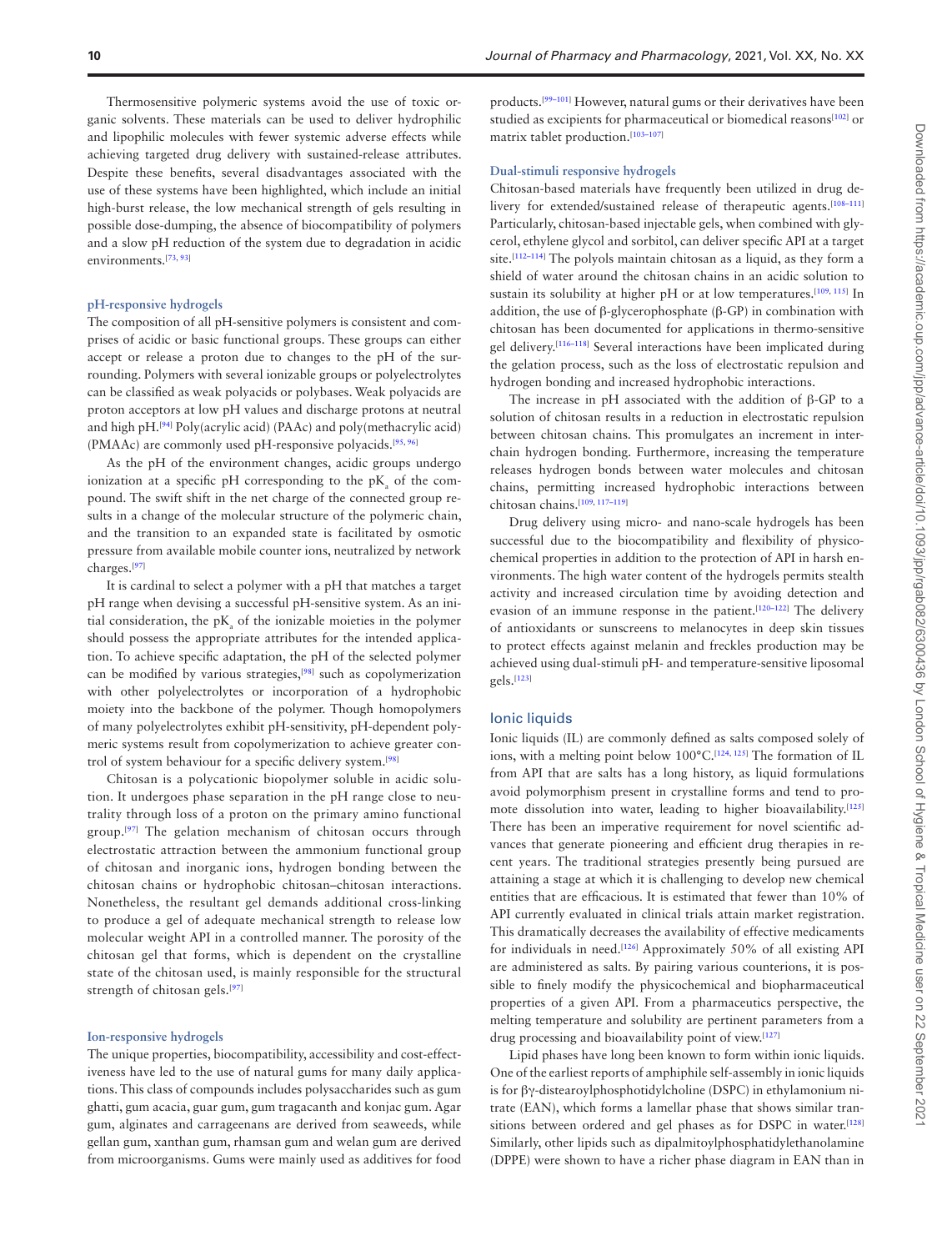Thermosensitive polymeric systems avoid the use of toxic organic solvents. These materials can be used to deliver hydrophilic and lipophilic molecules with fewer systemic adverse effects while achieving targeted drug delivery with sustained-release attributes. Despite these benefits, several disadvantages associated with the use of these systems have been highlighted, which include an initial high-burst release, the low mechanical strength of gels resulting in possible dose-dumping, the absence of biocompatibility of polymers and a slow pH reduction of the system due to degradation in acidic environments.[\[73](#page-12-19), [93\]](#page-13-0)

#### **pH-responsive hydrogels**

The composition of all pH-sensitive polymers is consistent and comprises of acidic or basic functional groups. These groups can either accept or release a proton due to changes to the pH of the surrounding. Polymers with several ionizable groups or polyelectrolytes can be classified as weak polyacids or polybases. Weak polyacids are proton acceptors at low pH values and discharge protons at neutral and high pH.<sup>[\[94](#page-13-1)]</sup> Poly(acrylic acid) (PAAc) and poly(methacrylic acid) (PMAAc) are commonly used pH-responsive polyacids.[\[95](#page-13-2), [96](#page-13-3)]

As the pH of the environment changes, acidic groups undergo ionization at a specific pH corresponding to the  $pK_a$  of the compound. The swift shift in the net charge of the connected group results in a change of the molecular structure of the polymeric chain, and the transition to an expanded state is facilitated by osmotic pressure from available mobile counter ions, neutralized by network charges.[\[97](#page-13-4)]

It is cardinal to select a polymer with a pH that matches a target pH range when devising a successful pH-sensitive system. As an initial consideration, the  $pK_a$  of the ionizable moieties in the polymer should possess the appropriate attributes for the intended application. To achieve specific adaptation, the pH of the selected polymer can be modified by various strategies,<sup>[[98](#page-13-5)]</sup> such as copolymerization with other polyelectrolytes or incorporation of a hydrophobic moiety into the backbone of the polymer. Though homopolymers of many polyelectrolytes exhibit pH-sensitivity, pH-dependent polymeric systems result from copolymerization to achieve greater control of system behaviour for a specific delivery system.[[98](#page-13-5)]

Chitosan is a polycationic biopolymer soluble in acidic solution. It undergoes phase separation in the pH range close to neutrality through loss of a proton on the primary amino functional group.[[97\]](#page-13-4) The gelation mechanism of chitosan occurs through electrostatic attraction between the ammonium functional group of chitosan and inorganic ions, hydrogen bonding between the chitosan chains or hydrophobic chitosan–chitosan interactions. Nonetheless, the resultant gel demands additional cross-linking to produce a gel of adequate mechanical strength to release low molecular weight API in a controlled manner. The porosity of the chitosan gel that forms, which is dependent on the crystalline state of the chitosan used, is mainly responsible for the structural strength of chitosan gels.<sup>[\[97](#page-13-4)]</sup>

#### **Ion-responsive hydrogels**

The unique properties, biocompatibility, accessibility and cost-effectiveness have led to the use of natural gums for many daily applications. This class of compounds includes polysaccharides such as gum ghatti, gum acacia, guar gum, gum tragacanth and konjac gum. Agar gum, alginates and carrageenans are derived from seaweeds, while gellan gum, xanthan gum, rhamsan gum and welan gum are derived from microorganisms. Gums were mainly used as additives for food

products.[[99–](#page-13-6)[101\]](#page-13-7) However, natural gums or their derivatives have been studied as excipients for pharmaceutical or biomedical reasons<sup>[[102\]](#page-13-8)</sup> or matrix tablet production.<sup>[103-[107\]](#page-13-10)</sup>

#### **Dual-stimuli responsive hydrogels**

Chitosan-based materials have frequently been utilized in drug delivery for extended/sustained release of therapeutic agents.[\[108](#page-13-11)[–111](#page-13-12)] Particularly, chitosan-based injectable gels, when combined with glycerol, ethylene glycol and sorbitol, can deliver specific API at a target site.<sup>[[112–](#page-13-13)[114\]](#page-13-14)</sup> The polyols maintain chitosan as a liquid, as they form a shield of water around the chitosan chains in an acidic solution to sustain its solubility at higher pH or at low temperatures.<sup>[[109,](#page-13-15) [115](#page-13-16)]</sup> In addition, the use of β-glycerophosphate (β-GP) in combination with chitosan has been documented for applications in thermo-sensitive gel delivery.[\[116](#page-13-17)[–118](#page-13-18)] Several interactions have been implicated during the gelation process, such as the loss of electrostatic repulsion and hydrogen bonding and increased hydrophobic interactions.

The increase in pH associated with the addition of β-GP to a solution of chitosan results in a reduction in electrostatic repulsion between chitosan chains. This promulgates an increment in interchain hydrogen bonding. Furthermore, increasing the temperature releases hydrogen bonds between water molecules and chitosan chains, permitting increased hydrophobic interactions between chitosan chains.[\[109](#page-13-15), [117](#page-13-19)–[119](#page-13-20)]

Drug delivery using micro- and nano-scale hydrogels has been successful due to the biocompatibility and flexibility of physicochemical properties in addition to the protection of API in harsh environments. The high water content of the hydrogels permits stealth activity and increased circulation time by avoiding detection and evasion of an immune response in the patient.<sup>[\[120](#page-13-21)[–122](#page-13-22)]</sup> The delivery of antioxidants or sunscreens to melanocytes in deep skin tissues to protect effects against melanin and freckles production may be achieved using dual-stimuli pH- and temperature-sensitive liposomal gels.[\[123](#page-13-23)]

#### Ionic liquids

Ionic liquids (IL) are commonly defined as salts composed solely of ions, with a melting point below  $100^{\circ}$ C.<sup>[\[124](#page-13-24), [125\]](#page-13-25)</sup> The formation of IL from API that are salts has a long history, as liquid formulations avoid polymorphism present in crystalline forms and tend to promote dissolution into water, leading to higher bioavailability.[\[125](#page-13-25)] There has been an imperative requirement for novel scientific advances that generate pioneering and efficient drug therapies in recent years. The traditional strategies presently being pursued are attaining a stage at which it is challenging to develop new chemical entities that are efficacious. It is estimated that fewer than 10% of API currently evaluated in clinical trials attain market registration. This dramatically decreases the availability of effective medicaments for individuals in need.[\[126\]](#page-13-26) Approximately 50% of all existing API are administered as salts. By pairing various counterions, it is possible to finely modify the physicochemical and biopharmaceutical properties of a given API. From a pharmaceutics perspective, the melting temperature and solubility are pertinent parameters from a drug processing and bioavailability point of view.<sup>[[127](#page-13-27)]</sup>

Lipid phases have long been known to form within ionic liquids. One of the earliest reports of amphiphile self-assembly in ionic liquids is for βγ-distearoylphosphotidylcholine (DSPC) in ethylamonium nitrate (EAN), which forms a lamellar phase that shows similar tran-sitions between ordered and gel phases as for DSPC in water.<sup>[\[128](#page-13-28)]</sup> Similarly, other lipids such as dipalmitoylphosphatidylethanolamine (DPPE) were shown to have a richer phase diagram in EAN than in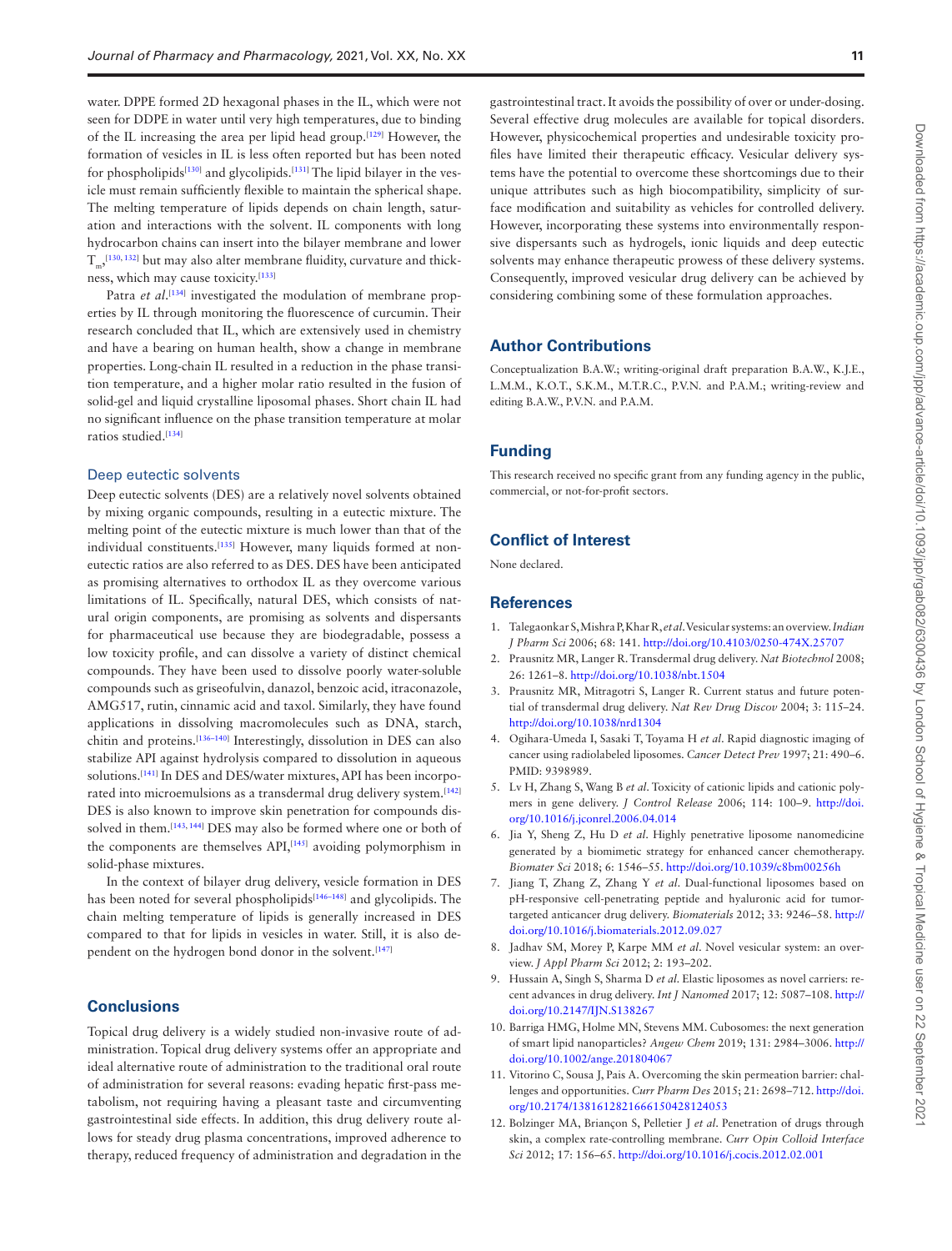water. DPPE formed 2D hexagonal phases in the IL, which were not seen for DDPE in water until very high temperatures, due to binding of the IL increasing the area per lipid head group.[[129\]](#page-13-29) However, the formation of vesicles in IL is less often reported but has been noted for phospholipids<sup>[[130\]](#page-13-30)</sup> and glycolipids.<sup>[\[131\]](#page-13-31)</sup> The lipid bilayer in the vesicle must remain sufficiently flexible to maintain the spherical shape. The melting temperature of lipids depends on chain length, saturation and interactions with the solvent. IL components with long hydrocarbon chains can insert into the bilayer membrane and lower  $T_{\rm m}$ ,<sup>[[130](#page-13-30), [132](#page-14-0)]</sup> but may also alter membrane fluidity, curvature and thickness, which may cause toxicity.[\[133\]](#page-14-1)

Patra *et al*.<sup>[\[134\]](#page-14-2)</sup> investigated the modulation of membrane properties by IL through monitoring the fluorescence of curcumin. Their research concluded that IL, which are extensively used in chemistry and have a bearing on human health, show a change in membrane properties. Long-chain IL resulted in a reduction in the phase transition temperature, and a higher molar ratio resulted in the fusion of solid-gel and liquid crystalline liposomal phases. Short chain IL had no significant influence on the phase transition temperature at molar ratios studied.<sup>[\[134\]](#page-14-2)</sup>

#### Deep eutectic solvents

Deep eutectic solvents (DES) are a relatively novel solvents obtained by mixing organic compounds, resulting in a eutectic mixture. The melting point of the eutectic mixture is much lower than that of the individual constituents.[[135](#page-14-3)] However, many liquids formed at noneutectic ratios are also referred to as DES. DES have been anticipated as promising alternatives to orthodox IL as they overcome various limitations of IL. Specifically, natural DES, which consists of natural origin components, are promising as solvents and dispersants for pharmaceutical use because they are biodegradable, possess a low toxicity profile, and can dissolve a variety of distinct chemical compounds. They have been used to dissolve poorly water-soluble compounds such as griseofulvin, danazol, benzoic acid, itraconazole, AMG517, rutin, cinnamic acid and taxol. Similarly, they have found applications in dissolving macromolecules such as DNA, starch, chitin and proteins.[\[136](#page-14-4)[–140](#page-14-5)] Interestingly, dissolution in DES can also stabilize API against hydrolysis compared to dissolution in aqueous solutions.<sup>[[141](#page-14-6)]</sup> In DES and DES/water mixtures, API has been incorporated into microemulsions as a transdermal drug delivery system.[\[142](#page-14-7)] DES is also known to improve skin penetration for compounds dis-solved in them.<sup>[\[143](#page-14-8), [144](#page-14-9)]</sup> DES may also be formed where one or both of the components are themselves API,<sup>[\[145](#page-14-10)]</sup> avoiding polymorphism in solid-phase mixtures.

In the context of bilayer drug delivery, vesicle formation in DES has been noted for several phospholipids<sup>[\[146](#page-14-11)[–148](#page-14-12)]</sup> and glycolipids. The chain melting temperature of lipids is generally increased in DES compared to that for lipids in vesicles in water. Still, it is also de-pendent on the hydrogen bond donor in the solvent.<sup>[\[147](#page-14-13)]</sup>

## **Conclusions**

Topical drug delivery is a widely studied non-invasive route of administration. Topical drug delivery systems offer an appropriate and ideal alternative route of administration to the traditional oral route of administration for several reasons: evading hepatic first-pass metabolism, not requiring having a pleasant taste and circumventing gastrointestinal side effects. In addition, this drug delivery route allows for steady drug plasma concentrations, improved adherence to therapy, reduced frequency of administration and degradation in the

gastrointestinal tract. It avoids the possibility of over or under-dosing. Several effective drug molecules are available for topical disorders. However, physicochemical properties and undesirable toxicity profiles have limited their therapeutic efficacy. Vesicular delivery systems have the potential to overcome these shortcomings due to their unique attributes such as high biocompatibility, simplicity of surface modification and suitability as vehicles for controlled delivery. However, incorporating these systems into environmentally responsive dispersants such as hydrogels, ionic liquids and deep eutectic solvents may enhance therapeutic prowess of these delivery systems. Consequently, improved vesicular drug delivery can be achieved by considering combining some of these formulation approaches.

## **Author Contributions**

Conceptualization B.A.W.; writing-original draft preparation B.A.W., K.J.E., L.M.M., K.O.T., S.K.M., M.T.R.C., P.V.N. and P.A.M.; writing-review and editing B.A.W., P.V.N. and P.A.M.

## **Funding**

This research received no specific grant from any funding agency in the public, commercial, or not-for-profit sectors.

## **Conflict of Interest**

None declared.

#### **References**

- <span id="page-10-0"></span>1. Talegaonkar S, Mishra P, Khar R, *et al*. Vesicular systems: an overview. *Indian J Pharm Sci* 2006; 68: 141. [http://doi.org/10.4103/0250-474X.25707](https://doi.org/http://doi.org/10.4103/0250-474X.25707)
- <span id="page-10-1"></span>2. Prausnitz MR, Langer R. Transdermal drug delivery. *Nat Biotechnol* 2008; 26: 1261–8. [http://doi.org/10.1038/nbt.1504](https://doi.org/http://doi.org/10.1038/nbt.1504)
- <span id="page-10-2"></span>3. Prausnitz MR, Mitragotri S, Langer R. Current status and future potential of transdermal drug delivery. *Nat Rev Drug Discov* 2004; 3: 115–24. [http://doi.org/10.1038/nrd1304](https://doi.org/http://doi.org/10.1038/nrd1304)
- <span id="page-10-3"></span>4. Ogihara-Umeda I, Sasaki T, Toyama H *et al*. Rapid diagnostic imaging of cancer using radiolabeled liposomes. *Cancer Detect Prev* 1997; 21: 490–6. PMID: 9398989.
- 5. Lv H, Zhang S, Wang B *et al*. Toxicity of cationic lipids and cationic polymers in gene delivery. *J Control Release* 2006; 114: 100–9. [http://doi.](https://doi.org/http://doi.org/10.1016/j.jconrel.2006.04.014) [org/10.1016/j.jconrel.2006.04.014](https://doi.org/http://doi.org/10.1016/j.jconrel.2006.04.014)
- 6. Jia Y, Sheng Z, Hu D *et al*. Highly penetrative liposome nanomedicine generated by a biomimetic strategy for enhanced cancer chemotherapy. *Biomater Sci* 2018; 6: 1546–55. [http://doi.org/10.1039/c8bm00256h](https://doi.org/http://doi.org/10.1039/c8bm00256h)
- <span id="page-10-4"></span>7. Jiang T, Zhang Z, Zhang Y *et al*. Dual-functional liposomes based on pH-responsive cell-penetrating peptide and hyaluronic acid for tumortargeted anticancer drug delivery. *Biomaterials* 2012; 33: 9246–58. [http://](https://doi.org/http://doi.org/10.1016/j.biomaterials.2012.09.027) [doi.org/10.1016/j.biomaterials.2012.09.027](https://doi.org/http://doi.org/10.1016/j.biomaterials.2012.09.027)
- <span id="page-10-5"></span>8. Jadhav SM, Morey P, Karpe MM *et al*. Novel vesicular system: an overview. *J Appl Pharm Sci* 2012; 2: 193–202.
- 9. Hussain A, Singh S, Sharma D *et al*. Elastic liposomes as novel carriers: recent advances in drug delivery. *Int J Nanomed* 2017; 12: 5087–108. [http://](https://doi.org/http://doi.org/10.2147/IJN.S138267) [doi.org/10.2147/IJN.S138267](https://doi.org/http://doi.org/10.2147/IJN.S138267)
- <span id="page-10-6"></span>10. Barriga HMG, Holme MN, Stevens MM. Cubosomes: the next generation of smart lipid nanoparticles? *Angew Chem* 2019; 131: 2984–3006. [http://](https://doi.org/http://doi.org/10.1002/ange.201804067) [doi.org/10.1002/ange.201804067](https://doi.org/http://doi.org/10.1002/ange.201804067)
- <span id="page-10-7"></span>11. Vitorino C, Sousa J, Pais A. Overcoming the skin permeation barrier: challenges and opportunities. *Curr Pharm Des* 2015; 21: 2698–712. [http://doi.](https://doi.org/http://doi.org/10.2174/1381612821666150428124053) [org/10.2174/1381612821666150428124053](https://doi.org/http://doi.org/10.2174/1381612821666150428124053)
- <span id="page-10-8"></span>12. Bolzinger MA, Briançon S, Pelletier J *et al*. Penetration of drugs through skin, a complex rate-controlling membrane. *Curr Opin Colloid Interface Sci* 2012; 17: 156–65. [http://doi.org/10.1016/j.cocis.2012.02.001](https://doi.org/http://doi.org/10.1016/j.cocis.2012.02.001)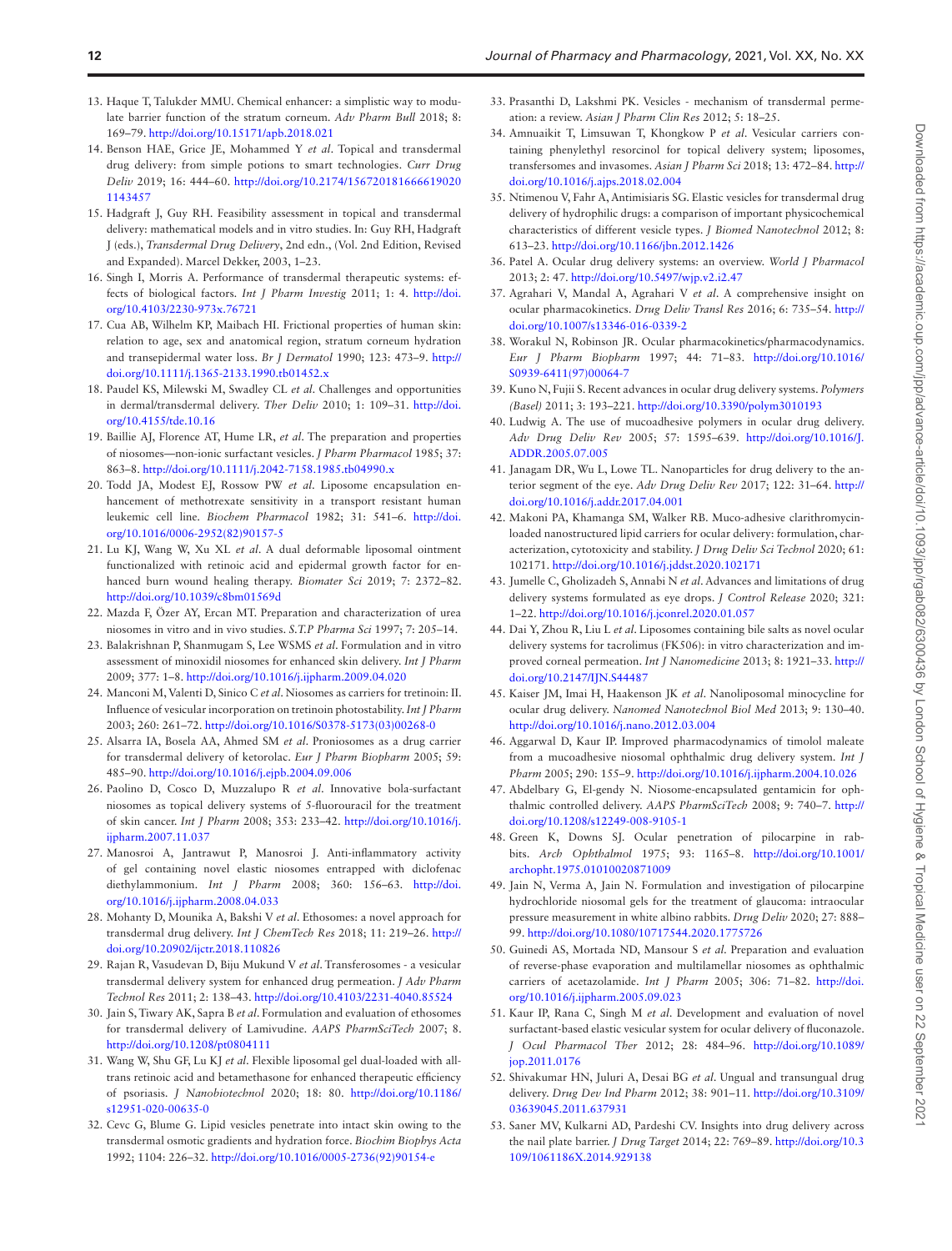- <span id="page-11-12"></span>13. Haque T, Talukder MMU. Chemical enhancer: a simplistic way to modulate barrier function of the stratum corneum. *Adv Pharm Bull* 2018; 8: 169–79. [http://doi.org/10.15171/apb.2018.021](https://doi.org/http://doi.org/10.15171/apb.2018.021)
- <span id="page-11-0"></span>14. Benson HAE, Grice JE, Mohammed Y *et al*. Topical and transdermal drug delivery: from simple potions to smart technologies. *Curr Drug Deliv* 2019; 16: 444–60. [http://doi.org/10.2174/156720181666619020](https://doi.org/http://doi.org/10.2174/1567201816666190201143457) [1143457](https://doi.org/http://doi.org/10.2174/1567201816666190201143457)
- <span id="page-11-1"></span>15. Hadgraft J, Guy RH. Feasibility assessment in topical and transdermal delivery: mathematical models and in vitro studies. In: Guy RH, Hadgraft J (eds.), *Transdermal Drug Delivery*, 2nd edn., (Vol. 2nd Edition, Revised and Expanded). Marcel Dekker, 2003, 1–23.
- <span id="page-11-2"></span>16. Singh I, Morris A. Performance of transdermal therapeutic systems: effects of biological factors. *Int J Pharm Investig* 2011; 1: 4. [http://doi.](https://doi.org/http://doi.org/10.4103/2230-973x.76721) [org/10.4103/2230-973x.76721](https://doi.org/http://doi.org/10.4103/2230-973x.76721)
- <span id="page-11-3"></span>17. Cua AB, Wilhelm KP, Maibach HI. Frictional properties of human skin: relation to age, sex and anatomical region, stratum corneum hydration and transepidermal water loss. *Br J Dermatol* 1990; 123: 473–9. [http://](https://doi.org/http://doi.org/10.1111/j.1365-2133.1990.tb01452.x) [doi.org/10.1111/j.1365-2133.1990.tb01452.x](https://doi.org/http://doi.org/10.1111/j.1365-2133.1990.tb01452.x)
- <span id="page-11-4"></span>18. Paudel KS, Milewski M, Swadley CL *et al*. Challenges and opportunities in dermal/transdermal delivery. *Ther Deliv* 2010; 1: 109–31. [http://doi.](https://doi.org/http://doi.org/10.4155/tde.10.16) [org/10.4155/tde.10.16](https://doi.org/http://doi.org/10.4155/tde.10.16)
- <span id="page-11-5"></span>19. Baillie AJ, Florence AT, Hume LR, *et al*. The preparation and properties of niosomes—non‐ionic surfactant vesicles. *J Pharm Pharmacol* 1985; 37: 863–8. [http://doi.org/10.1111/j.2042-7158.1985.tb04990.x](https://doi.org/http://doi.org/10.1111/j.2042-7158.1985.tb04990.x)
- <span id="page-11-6"></span>20. Todd JA, Modest EJ, Rossow PW *et al*. Liposome encapsulation enhancement of methotrexate sensitivity in a transport resistant human leukemic cell line. *Biochem Pharmacol* 1982; 31: 541–6. [http://doi.](https://doi.org/http://doi.org/10.1016/0006-2952(82)90157-5) [org/10.1016/0006-2952\(82\)90157-5](https://doi.org/http://doi.org/10.1016/0006-2952(82)90157-5)
- <span id="page-11-7"></span>21. Lu KJ, Wang W, Xu XL *et al*. A dual deformable liposomal ointment functionalized with retinoic acid and epidermal growth factor for enhanced burn wound healing therapy. *Biomater Sci* 2019; 7: 2372–82. [http://doi.org/10.1039/c8bm01569d](https://doi.org/http://doi.org/10.1039/c8bm01569d)
- <span id="page-11-8"></span>22. Mazda F, Özer AY, Ercan MT. Preparation and characterization of urea niosomes in vitro and in vivo studies. *S.T.P Pharma Sci* 1997; 7: 205–14.
- <span id="page-11-9"></span>23. Balakrishnan P, Shanmugam S, Lee WSMS *et al*. Formulation and in vitro assessment of minoxidil niosomes for enhanced skin delivery. *Int J Pharm* 2009; 377: 1–8. [http://doi.org/10.1016/j.ijpharm.2009.04.020](https://doi.org/http://doi.org/10.1016/j.ijpharm.2009.04.020)
- <span id="page-11-10"></span>24. Manconi M, Valenti D, Sinico C *et al*. Niosomes as carriers for tretinoin: II. Influence of vesicular incorporation on tretinoin photostability. *Int J Pharm* 2003; 260: 261–72. [http://doi.org/10.1016/S0378-5173\(03\)00268-0](https://doi.org/http://doi.org/10.1016/S0378-5173(03)00268-0)
- <span id="page-11-11"></span>25. Alsarra IA, Bosela AA, Ahmed SM *et al*. Proniosomes as a drug carrier for transdermal delivery of ketorolac. *Eur J Pharm Biopharm* 2005; 59: 485–90. [http://doi.org/10.1016/j.ejpb.2004.09.006](https://doi.org/http://doi.org/10.1016/j.ejpb.2004.09.006)
- <span id="page-11-13"></span>26. Paolino D, Cosco D, Muzzalupo R *et al*. Innovative bola-surfactant niosomes as topical delivery systems of 5-fluorouracil for the treatment of skin cancer. *Int J Pharm* 2008; 353: 233–42. [http://doi.org/10.1016/j.](https://doi.org/http://doi.org/10.1016/j.ijpharm.2007.11.037) [ijpharm.2007.11.037](https://doi.org/http://doi.org/10.1016/j.ijpharm.2007.11.037)
- <span id="page-11-17"></span>27. Manosroi A, Jantrawut P, Manosroi J. Anti-inflammatory activity of gel containing novel elastic niosomes entrapped with diclofenac diethylammonium. *Int J Pharm* 2008; 360: 156–63. [http://doi.](https://doi.org/http://doi.org/10.1016/j.ijpharm.2008.04.033) [org/10.1016/j.ijpharm.2008.04.033](https://doi.org/http://doi.org/10.1016/j.ijpharm.2008.04.033)
- <span id="page-11-14"></span>28. Mohanty D, Mounika A, Bakshi V *et al*. Ethosomes: a novel approach for transdermal drug delivery. *Int J ChemTech Res* 2018; 11: 219–26. [http://](https://doi.org/http://doi.org/10.20902/ijctr.2018.110826) [doi.org/10.20902/ijctr.2018.110826](https://doi.org/http://doi.org/10.20902/ijctr.2018.110826)
- <span id="page-11-18"></span>29. Rajan R, Vasudevan D, Biju Mukund V *et al*. Transferosomes - a vesicular transdermal delivery system for enhanced drug permeation. *J Adv Pharm Technol Res* 2011; 2: 138–43. [http://doi.org/10.4103/2231-4040.85524](https://doi.org/http://doi.org/10.4103/2231-4040.85524)
- <span id="page-11-19"></span>30. Jain S, Tiwary AK, Sapra B *et al*. Formulation and evaluation of ethosomes for transdermal delivery of Lamivudine. *AAPS PharmSciTech* 2007; 8. [http://doi.org/10.1208/pt0804111](https://doi.org/http://doi.org/10.1208/pt0804111)
- <span id="page-11-15"></span>31. Wang W, Shu GF, Lu KJ *et al*. Flexible liposomal gel dual-loaded with alltrans retinoic acid and betamethasone for enhanced therapeutic efficiency of psoriasis. *J Nanobiotechnol* 2020; 18: 80. [http://doi.org/10.1186/](https://doi.org/http://doi.org/10.1186/s12951-020-00635-0) [s12951-020-00635-0](https://doi.org/http://doi.org/10.1186/s12951-020-00635-0)
- <span id="page-11-20"></span>32. Cevc G, Blume G. Lipid vesicles penetrate into intact skin owing to the transdermal osmotic gradients and hydration force. *Biochim Biophys Acta* 1992; 1104: 226–32. [http://doi.org/10.1016/0005-2736\(92\)90154-e](https://doi.org/http://doi.org/10.1016/0005-2736(92)90154-e)
- <span id="page-11-21"></span>33. Prasanthi D, Lakshmi PK. Vesicles - mechanism of transdermal permeation: a review. *Asian J Pharm Clin Res* 2012; 5: 18–25.
- <span id="page-11-16"></span>34. Amnuaikit T, Limsuwan T, Khongkow P *et al*. Vesicular carriers containing phenylethyl resorcinol for topical delivery system; liposomes, transfersomes and invasomes. *Asian J Pharm Sci* 2018; 13: 472–84. [http://](https://doi.org/http://doi.org/10.1016/j.ajps.2018.02.004) [doi.org/10.1016/j.ajps.2018.02.004](https://doi.org/http://doi.org/10.1016/j.ajps.2018.02.004)
- <span id="page-11-22"></span>35. Ntimenou V, Fahr A, Antimisiaris SG. Elastic vesicles for transdermal drug delivery of hydrophilic drugs: a comparison of important physicochemical characteristics of different vesicle types. *J Biomed Nanotechnol* 2012; 8: 613–23. [http://doi.org/10.1166/jbn.2012.1426](https://doi.org/http://doi.org/10.1166/jbn.2012.1426)
- <span id="page-11-23"></span>36. Patel A. Ocular drug delivery systems: an overview. *World J Pharmacol* 2013; 2: 47. [http://doi.org/10.5497/wjp.v2.i2.47](https://doi.org/http://doi.org/10.5497/wjp.v2.i2.47)
- <span id="page-11-24"></span>37. Agrahari V, Mandal A, Agrahari V *et al*. A comprehensive insight on ocular pharmacokinetics. *Drug Deliv Transl Res* 2016; 6: 735–54. [http://](https://doi.org/http://doi.org/10.1007/s13346-016-0339-2) [doi.org/10.1007/s13346-016-0339-2](https://doi.org/http://doi.org/10.1007/s13346-016-0339-2)
- <span id="page-11-25"></span>38. Worakul N, Robinson JR. Ocular pharmacokinetics/pharmacodynamics. *Eur J Pharm Biopharm* 1997; 44: 71–83. [http://doi.org/10.1016/](https://doi.org/http://doi.org/10.1016/S0939-6411(97)00064-7) [S0939-6411\(97\)00064-7](https://doi.org/http://doi.org/10.1016/S0939-6411(97)00064-7)
- <span id="page-11-26"></span>39. Kuno N, Fujii S. Recent advances in ocular drug delivery systems. *Polymers (Basel)* 2011; 3: 193–221. [http://doi.org/10.3390/polym3010193](https://doi.org/http://doi.org/10.3390/polym3010193)
- <span id="page-11-27"></span>40. Ludwig A. The use of mucoadhesive polymers in ocular drug delivery. *Adv Drug Deliv Rev* 2005; 57: 1595–639. [http://doi.org/10.1016/J.](https://doi.org/http://doi.org/10.1016/J.ADDR.2005.07.005) [ADDR.2005.07.005](https://doi.org/http://doi.org/10.1016/J.ADDR.2005.07.005)
- <span id="page-11-28"></span>41. Janagam DR, Wu L, Lowe TL. Nanoparticles for drug delivery to the anterior segment of the eye. *Adv Drug Deliv Rev* 2017; 122: 31–64. [http://](https://doi.org/http://doi.org/10.1016/j.addr.2017.04.001) [doi.org/10.1016/j.addr.2017.04.001](https://doi.org/http://doi.org/10.1016/j.addr.2017.04.001)
- <span id="page-11-29"></span>42. Makoni PA, Khamanga SM, Walker RB. Muco-adhesive clarithromycinloaded nanostructured lipid carriers for ocular delivery: formulation, characterization, cytotoxicity and stability. *J Drug Deliv Sci Technol* 2020; 61: 102171. [http://doi.org/10.1016/j.jddst.2020.102171](https://doi.org/http://doi.org/10.1016/j.jddst.2020.102171)
- <span id="page-11-30"></span>43. Jumelle C, Gholizadeh S, Annabi N *et al*. Advances and limitations of drug delivery systems formulated as eye drops. *J Control Release* 2020; 321: 1–22. [http://doi.org/10.1016/j.jconrel.2020.01.057](https://doi.org/http://doi.org/10.1016/j.jconrel.2020.01.057)
- <span id="page-11-31"></span>44. Dai Y, Zhou R, Liu L *et al*. Liposomes containing bile salts as novel ocular delivery systems for tacrolimus (FK506): in vitro characterization and improved corneal permeation. *Int J Nanomedicine* 2013; 8: 1921–33. [http://](https://doi.org/http://doi.org/10.2147/IJN.S44487) [doi.org/10.2147/IJN.S44487](https://doi.org/http://doi.org/10.2147/IJN.S44487)
- <span id="page-11-32"></span>45. Kaiser JM, Imai H, Haakenson JK *et al*. Nanoliposomal minocycline for ocular drug delivery. *Nanomed Nanotechnol Biol Med* 2013; 9: 130–40. [http://doi.org/10.1016/j.nano.2012.03.004](https://doi.org/http://doi.org/10.1016/j.nano.2012.03.004)
- <span id="page-11-33"></span>46. Aggarwal D, Kaur IP. Improved pharmacodynamics of timolol maleate from a mucoadhesive niosomal ophthalmic drug delivery system. *Int J Pharm* 2005; 290: 155–9. [http://doi.org/10.1016/j.ijpharm.2004.10.026](https://doi.org/http://doi.org/10.1016/j.ijpharm.2004.10.026)
- <span id="page-11-34"></span>47. Abdelbary G, El-gendy N. Niosome-encapsulated gentamicin for ophthalmic controlled delivery. *AAPS PharmSciTech* 2008; 9: 740–7. [http://](https://doi.org/http://doi.org/10.1208/s12249-008-9105-1) [doi.org/10.1208/s12249-008-9105-1](https://doi.org/http://doi.org/10.1208/s12249-008-9105-1)
- 48. Green K, Downs SJ. Ocular penetration of pilocarpine in rabbits. *Arch Ophthalmol* 1975; 93: 1165–8. [http://doi.org/10.1001/](https://doi.org/http://doi.org/10.1001/archopht.1975.01010020871009) [archopht.1975.01010020871009](https://doi.org/http://doi.org/10.1001/archopht.1975.01010020871009)
- <span id="page-11-35"></span>49. Jain N, Verma A, Jain N. Formulation and investigation of pilocarpine hydrochloride niosomal gels for the treatment of glaucoma: intraocular pressure measurement in white albino rabbits. *Drug Deliv* 2020; 27: 888– 99. [http://doi.org/10.1080/10717544.2020.1775726](https://doi.org/http://doi.org/10.1080/10717544.2020.1775726)
- <span id="page-11-36"></span>50. Guinedi AS, Mortada ND, Mansour S *et al*. Preparation and evaluation of reverse-phase evaporation and multilamellar niosomes as ophthalmic carriers of acetazolamide. *Int J Pharm* 2005; 306: 71–82. [http://doi.](https://doi.org/http://doi.org/10.1016/j.ijpharm.2005.09.023) [org/10.1016/j.ijpharm.2005.09.023](https://doi.org/http://doi.org/10.1016/j.ijpharm.2005.09.023)
- <span id="page-11-37"></span>51. Kaur IP, Rana C, Singh M *et al*. Development and evaluation of novel surfactant-based elastic vesicular system for ocular delivery of fluconazole. *J Ocul Pharmacol Ther* 2012; 28: 484–96. [http://doi.org/10.1089/](https://doi.org/http://doi.org/10.1089/jop.2011.0176) [jop.2011.0176](https://doi.org/http://doi.org/10.1089/jop.2011.0176)
- <span id="page-11-38"></span>52. Shivakumar HN, Juluri A, Desai BG *et al*. Ungual and transungual drug delivery. *Drug Dev Ind Pharm* 2012; 38: 901–11. [http://doi.org/10.3109/](https://doi.org/http://doi.org/10.3109/03639045.2011.637931) [03639045.2011.637931](https://doi.org/http://doi.org/10.3109/03639045.2011.637931)
- <span id="page-11-39"></span>53. Saner MV, Kulkarni AD, Pardeshi CV. Insights into drug delivery across the nail plate barrier. *J Drug Target* 2014; 22: 769–89. [http://doi.org/10.3](https://doi.org/http://doi.org/10.3109/1061186X.2014.929138) [109/1061186X.2014.929138](https://doi.org/http://doi.org/10.3109/1061186X.2014.929138)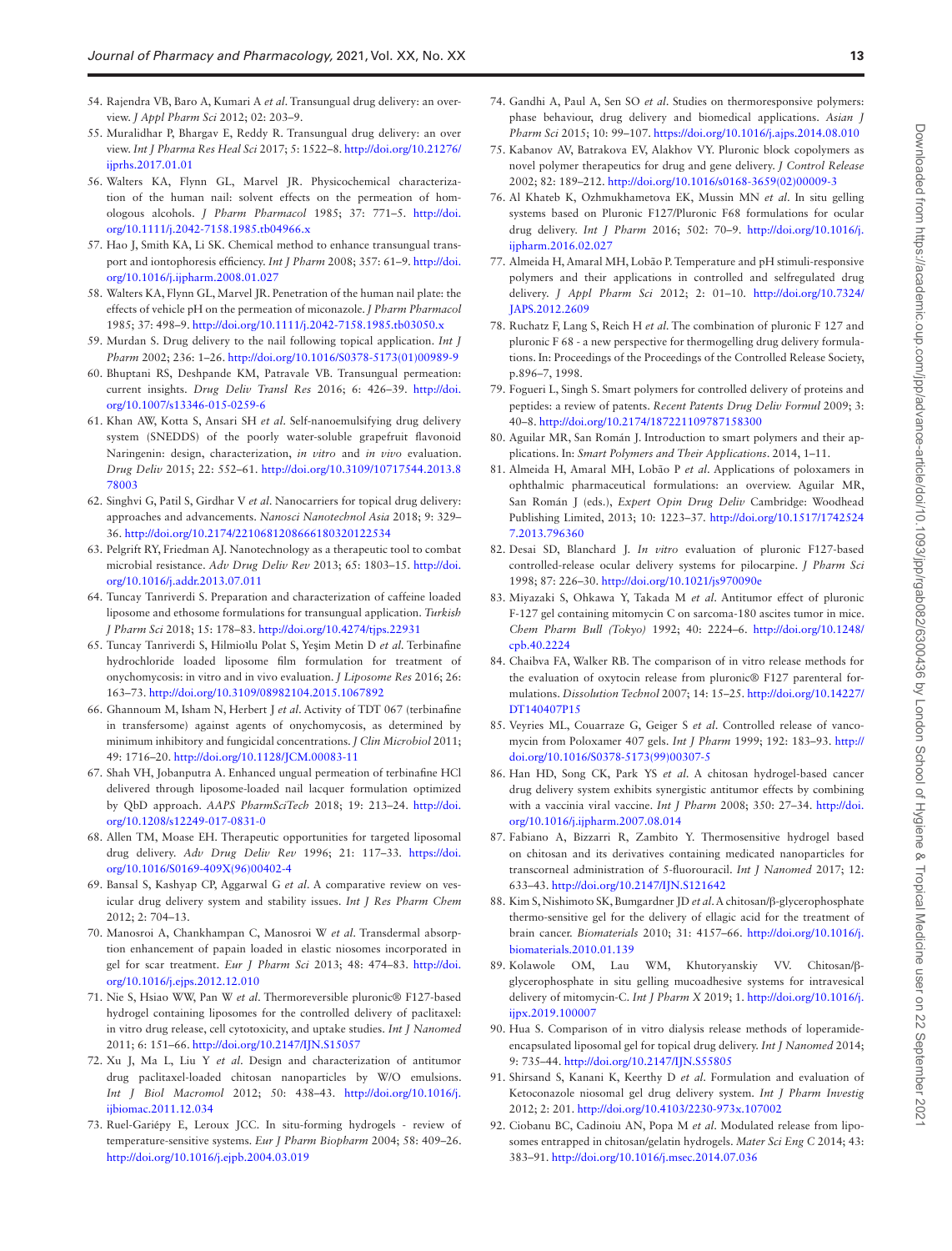- <span id="page-12-0"></span>54. Rajendra VB, Baro A, Kumari A *et al*. Transungual drug delivery: an overview. *J Appl Pharm Sci* 2012; 02: 203–9.
- <span id="page-12-1"></span>55. Muralidhar P, Bhargav E, Reddy R. Transungual drug delivery: an over view. *Int J Pharma Res Heal Sci* 2017; 5: 1522–8. [http://doi.org/10.21276/](https://doi.org/http://doi.org/10.21276/ijprhs.2017.01.01) [ijprhs.2017.01.01](https://doi.org/http://doi.org/10.21276/ijprhs.2017.01.01)
- <span id="page-12-2"></span>56. Walters KA, Flynn GL, Marvel JR. Physicochemical characterization of the human nail: solvent effects on the permeation of homologous alcohols. *J Pharm Pharmacol* 1985; 37: 771–5. [http://doi.](https://doi.org/http://doi.org/10.1111/j.2042-7158.1985.tb04966.x) [org/10.1111/j.2042-7158.1985.tb04966.x](https://doi.org/http://doi.org/10.1111/j.2042-7158.1985.tb04966.x)
- <span id="page-12-3"></span>57. Hao J, Smith KA, Li SK. Chemical method to enhance transungual transport and iontophoresis efficiency. *Int J Pharm* 2008; 357: 61–9. [http://doi.](https://doi.org/http://doi.org/10.1016/j.ijpharm.2008.01.027) [org/10.1016/j.ijpharm.2008.01.027](https://doi.org/http://doi.org/10.1016/j.ijpharm.2008.01.027)
- <span id="page-12-4"></span>58. Walters KA, Flynn GL, Marvel JR. Penetration of the human nail plate: the effects of vehicle pH on the permeation of miconazole. *J Pharm Pharmacol* 1985; 37: 498–9. [http://doi.org/10.1111/j.2042-7158.1985.tb03050.x](https://doi.org/http://doi.org/10.1111/j.2042-7158.1985.tb03050.x)
- <span id="page-12-5"></span>59. Murdan S. Drug delivery to the nail following topical application. *Int J Pharm* 2002; 236: 1–26. [http://doi.org/10.1016/S0378-5173\(01\)00989-9](https://doi.org/http://doi.org/10.1016/S0378-5173(01)00989-9)
- <span id="page-12-6"></span>60. Bhuptani RS, Deshpande KM, Patravale VB. Transungual permeation: current insights. *Drug Deliv Transl Res* 2016; 6: 426–39. [http://doi.](https://doi.org/http://doi.org/10.1007/s13346-015-0259-6) [org/10.1007/s13346-015-0259-6](https://doi.org/http://doi.org/10.1007/s13346-015-0259-6)
- <span id="page-12-7"></span>61. Khan AW, Kotta S, Ansari SH *et al*. Self-nanoemulsifying drug delivery system (SNEDDS) of the poorly water-soluble grapefruit flavonoid Naringenin: design, characterization, *in vitro* and *in vivo* evaluation. *Drug Deliv* 2015; 22: 552–61. [http://doi.org/10.3109/10717544.2013.8](https://doi.org/http://doi.org/10.3109/10717544.2013.878003) [78003](https://doi.org/http://doi.org/10.3109/10717544.2013.878003)
- <span id="page-12-8"></span>62. Singhvi G, Patil S, Girdhar V *et al*. Nanocarriers for topical drug delivery: approaches and advancements. *Nanosci Nanotechnol Asia* 2018; 9: 329– 36. [http://doi.org/10.2174/2210681208666180320122534](https://doi.org/http://doi.org/10.2174/2210681208666180320122534)
- <span id="page-12-9"></span>63. Pelgrift RY, Friedman AJ. Nanotechnology as a therapeutic tool to combat microbial resistance. *Adv Drug Deliv Rev* 2013; 65: 1803–15. [http://doi.](https://doi.org/http://doi.org/10.1016/j.addr.2013.07.011) [org/10.1016/j.addr.2013.07.011](https://doi.org/http://doi.org/10.1016/j.addr.2013.07.011)
- <span id="page-12-10"></span>64. Tuncay Tanriverdi S. Preparation and characterization of caffeine loaded liposome and ethosome formulations for transungual application. *Turkish J Pharm Sci* 2018; 15: 178–83. [http://doi.org/10.4274/tjps.22931](https://doi.org/http://doi.org/10.4274/tjps.22931)
- <span id="page-12-11"></span>65. Tuncay Tanriverdi S, Hilmioʇlu Polat S, Yeşim Metin D *et al*. Terbinafine hydrochloride loaded liposome film formulation for treatment of onychomycosis: in vitro and in vivo evaluation. *J Liposome Res* 2016; 26: 163–73. [http://doi.org/10.3109/08982104.2015.1067892](https://doi.org/http://doi.org/10.3109/08982104.2015.1067892)
- <span id="page-12-12"></span>66. Ghannoum M, Isham N, Herbert J *et al*. Activity of TDT 067 (terbinafine in transfersome) against agents of onychomycosis, as determined by minimum inhibitory and fungicidal concentrations. *J Clin Microbiol* 2011; 49: 1716–20. [http://doi.org/10.1128/JCM.00083-11](https://doi.org/http://doi.org/10.1128/JCM.00083-11)
- <span id="page-12-13"></span>67. Shah VH, Jobanputra A. Enhanced ungual permeation of terbinafine HCl delivered through liposome-loaded nail lacquer formulation optimized by QbD approach. *AAPS PharmSciTech* 2018; 19: 213–24. [http://doi.](https://doi.org/http://doi.org/10.1208/s12249-017-0831-0) [org/10.1208/s12249-017-0831-0](https://doi.org/http://doi.org/10.1208/s12249-017-0831-0)
- <span id="page-12-14"></span>68. Allen TM, Moase EH. Therapeutic opportunities for targeted liposomal drug delivery. *Adv Drug Deliv Rev* 1996; 21: 117–33. [https://doi.](https://doi.org/https://doi.org/10.1016/S0169-409X(96)00402-4) [org/10.1016/S0169-409X\(96\)00402-4](https://doi.org/https://doi.org/10.1016/S0169-409X(96)00402-4)
- <span id="page-12-15"></span>69. Bansal S, Kashyap CP, Aggarwal G *et al*. A comparative review on vesicular drug delivery system and stability issues. *Int J Res Pharm Chem* 2012; 2: 704–13.
- <span id="page-12-16"></span>70. Manosroi A, Chankhampan C, Manosroi W *et al*. Transdermal absorption enhancement of papain loaded in elastic niosomes incorporated in gel for scar treatment. *Eur J Pharm Sci* 2013; 48: 474–83. [http://doi.](https://doi.org/http://doi.org/10.1016/j.ejps.2012.12.010) [org/10.1016/j.ejps.2012.12.010](https://doi.org/http://doi.org/10.1016/j.ejps.2012.12.010)
- <span id="page-12-17"></span>71. Nie S, Hsiao WW, Pan W *et al*. Thermoreversible pluronic® F127-based hydrogel containing liposomes for the controlled delivery of paclitaxel: in vitro drug release, cell cytotoxicity, and uptake studies. *Int J Nanomed* 2011; 6: 151–66. [http://doi.org/10.2147/IJN.S15057](https://doi.org/http://doi.org/10.2147/IJN.S15057)
- <span id="page-12-18"></span>72. Xu J, Ma L, Liu Y *et al*. Design and characterization of antitumor drug paclitaxel-loaded chitosan nanoparticles by W/O emulsions. *Int J Biol Macromol* 2012; 50: 438–43. [http://doi.org/10.1016/j.](https://doi.org/http://doi.org/10.1016/j.ijbiomac.2011.12.034) [ijbiomac.2011.12.034](https://doi.org/http://doi.org/10.1016/j.ijbiomac.2011.12.034)
- <span id="page-12-19"></span>73. Ruel-Gariépy E, Leroux JCC. In situ-forming hydrogels - review of temperature-sensitive systems. *Eur J Pharm Biopharm* 2004; 58: 409–26. [http://doi.org/10.1016/j.ejpb.2004.03.019](https://doi.org/http://doi.org/10.1016/j.ejpb.2004.03.019)
- <span id="page-12-20"></span>74. Gandhi A, Paul A, Sen SO *et al*. Studies on thermoresponsive polymers: phase behaviour, drug delivery and biomedical applications. *Asian i Pharm Sci* 2015; 10: 99–107. [https://doi.org/10.1016/j.ajps.2014.08.010](https://doi.org/https://doi.org/10.1016/j.ajps.2014.08.010)
- <span id="page-12-21"></span>75. Kabanov AV, Batrakova EV, Alakhov VY. Pluronic block copolymers as novel polymer therapeutics for drug and gene delivery. *J Control Release* 2002; 82: 189–212. [http://doi.org/10.1016/s0168-3659\(02\)00009-3](https://doi.org/http://doi.org/10.1016/s0168-3659(02)00009-3)
- <span id="page-12-22"></span>76. Al Khateb K, Ozhmukhametova EK, Mussin MN *et al*. In situ gelling systems based on Pluronic F127/Pluronic F68 formulations for ocular drug delivery. *Int J Pharm* 2016; 502: 70–9. [http://doi.org/10.1016/j.](https://doi.org/http://doi.org/10.1016/j.ijpharm.2016.02.027) [ijpharm.2016.02.027](https://doi.org/http://doi.org/10.1016/j.ijpharm.2016.02.027)
- <span id="page-12-23"></span>77. Almeida H, Amaral MH, Lobão P. Temperature and pH stimuli-responsive polymers and their applications in controlled and selfregulated drug delivery. *J Appl Pharm Sci* 2012; 2: 01–10. [http://doi.org/10.7324/](https://doi.org/http://doi.org/10.7324/JAPS.2012.2609) [JAPS.2012.2609](https://doi.org/http://doi.org/10.7324/JAPS.2012.2609)
- <span id="page-12-25"></span>78. Ruchatz F, Lang S, Reich H *et al*. The combination of pluronic F 127 and pluronic F 68 - a new perspective for thermogelling drug delivery formulations. In: Proceedings of the Proceedings of the Controlled Release Society, p.896–7, 1998.
- 79. Fogueri L, Singh S. Smart polymers for controlled delivery of proteins and peptides: a review of patents. *Recent Patents Drug Deliv Formul* 2009; 3: 40–8. [http://doi.org/10.2174/187221109787158300](https://doi.org/http://doi.org/10.2174/187221109787158300)
- <span id="page-12-24"></span>80. Aguilar MR, San Román J. Introduction to smart polymers and their applications. In: *Smart Polymers and Their Applications*. 2014, 1–11.
- <span id="page-12-26"></span>81. Almeida H, Amaral MH, Lobão P *et al*. Applications of poloxamers in ophthalmic pharmaceutical formulations: an overview. Aguilar MR, San Román J (eds.), *Expert Opin Drug Deliv* Cambridge: Woodhead Publishing Limited, 2013; 10: 1223–37. [http://doi.org/10.1517/1742524](https://doi.org/http://doi.org/10.1517/17425247.2013.796360) [7.2013.796360](https://doi.org/http://doi.org/10.1517/17425247.2013.796360)
- <span id="page-12-27"></span>82. Desai SD, Blanchard J. *In vitro* evaluation of pluronic F127-based controlled-release ocular delivery systems for pilocarpine. *J Pharm Sci* 1998; 87: 226–30. [http://doi.org/10.1021/js970090e](https://doi.org/http://doi.org/10.1021/js970090e)
- <span id="page-12-29"></span>83. Miyazaki S, Ohkawa Y, Takada M *et al*. Antitumor effect of pluronic F-127 gel containing mitomycin C on sarcoma-180 ascites tumor in mice. *Chem Pharm Bull (Tokyo)* 1992; 40: 2224–6. [http://doi.org/10.1248/](https://doi.org/http://doi.org/10.1248/cpb.40.2224) [cpb.40.2224](https://doi.org/http://doi.org/10.1248/cpb.40.2224)
- <span id="page-12-28"></span>84. Chaibva FA, Walker RB. The comparison of in vitro release methods for the evaluation of oxytocin release from pluronic® F127 parenteral formulations. *Dissolution Technol* 2007; 14: 15–25. [http://doi.org/10.14227/](https://doi.org/http://doi.org/10.14227/DT140407P15) [DT140407P15](https://doi.org/http://doi.org/10.14227/DT140407P15)
- <span id="page-12-30"></span>85. Veyries ML, Couarraze G, Geiger S *et al*. Controlled release of vancomycin from Poloxamer 407 gels. *Int J Pharm* 1999; 192: 183–93. [http://](https://doi.org/http://doi.org/10.1016/S0378-5173(99)00307-5) [doi.org/10.1016/S0378-5173\(99\)00307-5](https://doi.org/http://doi.org/10.1016/S0378-5173(99)00307-5)
- <span id="page-12-31"></span>86. Han HD, Song CK, Park YS *et al*. A chitosan hydrogel-based cancer drug delivery system exhibits synergistic antitumor effects by combining with a vaccinia viral vaccine. *Int J Pharm* 2008; 350: 27–34. [http://doi.](https://doi.org/http://doi.org/10.1016/j.ijpharm.2007.08.014) [org/10.1016/j.ijpharm.2007.08.014](https://doi.org/http://doi.org/10.1016/j.ijpharm.2007.08.014)
- <span id="page-12-34"></span>87. Fabiano A, Bizzarri R, Zambito Y. Thermosensitive hydrogel based on chitosan and its derivatives containing medicated nanoparticles for transcorneal administration of 5-fluorouracil. *Int J Nanomed* 2017; 12: 633–43. [http://doi.org/10.2147/IJN.S121642](https://doi.org/http://doi.org/10.2147/IJN.S121642)
- <span id="page-12-32"></span>88. Kim S, Nishimoto SK, Bumgardner JD *et al*. A chitosan/β-glycerophosphate thermo-sensitive gel for the delivery of ellagic acid for the treatment of brain cancer. *Biomaterials* 2010; 31: 4157–66. [http://doi.org/10.1016/j.](https://doi.org/http://doi.org/10.1016/j.biomaterials.2010.01.139) [biomaterials.2010.01.139](https://doi.org/http://doi.org/10.1016/j.biomaterials.2010.01.139)
- <span id="page-12-33"></span>89. Kolawole OM, Lau WM, Khutoryanskiy VV. Chitosan/βglycerophosphate in situ gelling mucoadhesive systems for intravesical delivery of mitomycin-C. *Int J Pharm X* 2019; 1. [http://doi.org/10.1016/j.](https://doi.org/http://doi.org/10.1016/j.ijpx.2019.100007) [ijpx.2019.100007](https://doi.org/http://doi.org/10.1016/j.ijpx.2019.100007)
- <span id="page-12-35"></span>90. Hua S. Comparison of in vitro dialysis release methods of loperamideencapsulated liposomal gel for topical drug delivery. *Int J Nanomed* 2014; 9: 735–44. [http://doi.org/10.2147/IJN.S55805](https://doi.org/http://doi.org/10.2147/IJN.S55805)
- <span id="page-12-36"></span>91. Shirsand S, Kanani K, Keerthy D *et al*. Formulation and evaluation of Ketoconazole niosomal gel drug delivery system. *Int J Pharm Investig* 2012; 2: 201. [http://doi.org/10.4103/2230-973x.107002](https://doi.org/http://doi.org/10.4103/2230-973x.107002)
- <span id="page-12-37"></span>92. Ciobanu BC, Cadinoiu AN, Popa M *et al*. Modulated release from liposomes entrapped in chitosan/gelatin hydrogels. *Mater Sci Eng C* 2014; 43: 383–91. [http://doi.org/10.1016/j.msec.2014.07.036](https://doi.org/http://doi.org/10.1016/j.msec.2014.07.036)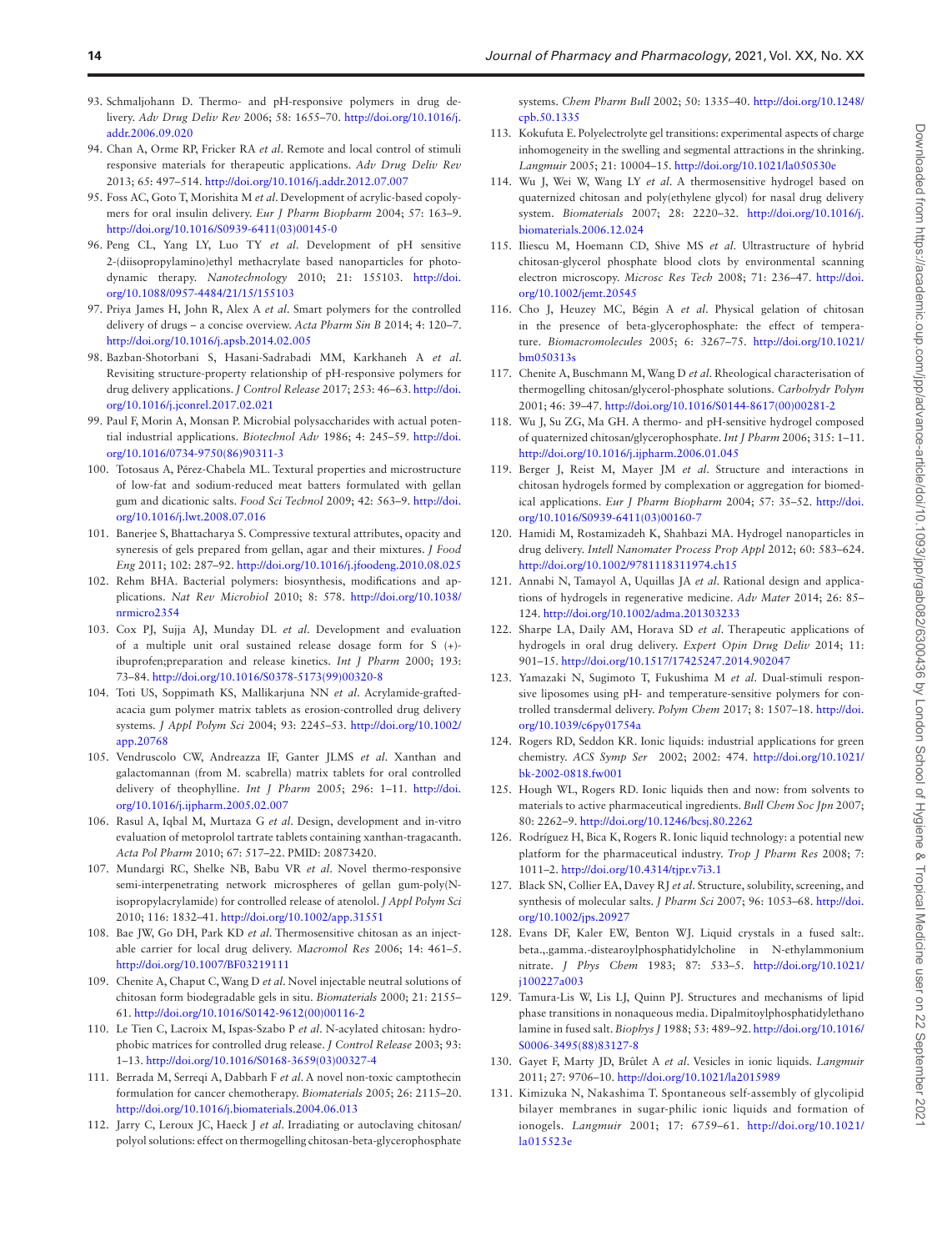- <span id="page-13-0"></span>93. Schmaljohann D. Thermo- and pH-responsive polymers in drug delivery. *Adv Drug Deliv Rev* 2006; 58: 1655–70. [http://doi.org/10.1016/j.](https://doi.org/http://doi.org/10.1016/j.addr.2006.09.020) [addr.2006.09.020](https://doi.org/http://doi.org/10.1016/j.addr.2006.09.020)
- <span id="page-13-1"></span>94. Chan A, Orme RP, Fricker RA *et al*. Remote and local control of stimuli responsive materials for therapeutic applications. *Adv Drug Deliv Rev* 2013; 65: 497–514. [http://doi.org/10.1016/j.addr.2012.07.007](https://doi.org/http://doi.org/10.1016/j.addr.2012.07.007)
- <span id="page-13-2"></span>95. Foss AC, Goto T, Morishita M *et al*. Development of acrylic-based copolymers for oral insulin delivery. *Eur J Pharm Biopharm* 2004; 57: 163–9. [http://doi.org/10.1016/S0939-6411\(03\)00145-0](https://doi.org/http://doi.org/10.1016/S0939-6411(03)00145-0)
- <span id="page-13-3"></span>96. Peng CL, Yang LY, Luo TY *et al*. Development of pH sensitive 2-(diisopropylamino)ethyl methacrylate based nanoparticles for photodynamic therapy. *Nanotechnology* 2010; 21: 155103. [http://doi.](https://doi.org/http://doi.org/10.1088/0957-4484/21/15/155103) [org/10.1088/0957-4484/21/15/155103](https://doi.org/http://doi.org/10.1088/0957-4484/21/15/155103)
- <span id="page-13-4"></span>97. Priya James H, John R, Alex A *et al*. Smart polymers for the controlled delivery of drugs – a concise overview. *Acta Pharm Sin B* 2014; 4: 120–7. [http://doi.org/10.1016/j.apsb.2014.02.005](https://doi.org/http://doi.org/10.1016/j.apsb.2014.02.005)
- <span id="page-13-5"></span>98. Bazban-Shotorbani S, Hasani-Sadrabadi MM, Karkhaneh A *et al*. Revisiting structure-property relationship of pH-responsive polymers for drug delivery applications. *J Control Release* 2017; 253: 46–63. [http://doi.](https://doi.org/http://doi.org/10.1016/j.jconrel.2017.02.021) [org/10.1016/j.jconrel.2017.02.021](https://doi.org/http://doi.org/10.1016/j.jconrel.2017.02.021)
- <span id="page-13-6"></span>99. Paul F, Morin A, Monsan P. Microbial polysaccharides with actual potential industrial applications. *Biotechnol Adv* 1986; 4: 245–59. [http://doi.](https://doi.org/http://doi.org/10.1016/0734-9750(86)90311-3) [org/10.1016/0734-9750\(86\)90311-3](https://doi.org/http://doi.org/10.1016/0734-9750(86)90311-3)
- 100. Totosaus A, Pérez-Chabela ML. Textural properties and microstructure of low-fat and sodium-reduced meat batters formulated with gellan gum and dicationic salts. *Food Sci Technol* 2009; 42: 563–9. [http://doi.](https://doi.org/http://doi.org/10.1016/j.lwt.2008.07.016) [org/10.1016/j.lwt.2008.07.016](https://doi.org/http://doi.org/10.1016/j.lwt.2008.07.016)
- <span id="page-13-7"></span>101. Banerjee S, Bhattacharya S. Compressive textural attributes, opacity and syneresis of gels prepared from gellan, agar and their mixtures. *J Food Eng* 2011; 102: 287–92. [http://doi.org/10.1016/j.jfoodeng.2010.08.025](https://doi.org/http://doi.org/10.1016/j.jfoodeng.2010.08.025)
- <span id="page-13-8"></span>102. Rehm BHA. Bacterial polymers: biosynthesis, modifications and applications. *Nat Rev Microbiol* 2010; 8: 578. [http://doi.org/10.1038/](https://doi.org/http://doi.org/10.1038/nrmicro2354) [nrmicro2354](https://doi.org/http://doi.org/10.1038/nrmicro2354)
- <span id="page-13-9"></span>103. Cox PJ, Sujja AJ, Munday DL *et al*. Development and evaluation of a multiple unit oral sustained release dosage form for S (+) ibuprofen;preparation and release kinetics. *Int J Pharm* 2000; 193: 73–84. [http://doi.org/10.1016/S0378-5173\(99\)00320-8](https://doi.org/http://doi.org/10.1016/S0378-5173(99)00320-8)
- 104. Toti US, Soppimath KS, Mallikarjuna NN *et al*. Acrylamide-graftedacacia gum polymer matrix tablets as erosion-controlled drug delivery systems. *J Appl Polym Sci* 2004; 93: 2245–53. [http://doi.org/10.1002/](https://doi.org/http://doi.org/10.1002/app.20768) [app.20768](https://doi.org/http://doi.org/10.1002/app.20768)
- 105. Vendruscolo CW, Andreazza IF, Ganter JLMS *et al*. Xanthan and galactomannan (from M. scabrella) matrix tablets for oral controlled delivery of theophylline. *Int J Pharm* 2005; 296: 1–11. [http://doi.](https://doi.org/http://doi.org/10.1016/j.ijpharm.2005.02.007) [org/10.1016/j.ijpharm.2005.02.007](https://doi.org/http://doi.org/10.1016/j.ijpharm.2005.02.007)
- 106. Rasul A, Iqbal M, Murtaza G *et al*. Design, development and in-vitro evaluation of metoprolol tartrate tablets containing xanthan-tragacanth. *Acta Pol Pharm* 2010; 67: 517–22. PMID: 20873420.
- <span id="page-13-10"></span>107. Mundargi RC, Shelke NB, Babu VR *et al*. Novel thermo-responsive semi-interpenetrating network microspheres of gellan gum-poly(Nisopropylacrylamide) for controlled release of atenolol. *J Appl Polym Sci* 2010; 116: 1832–41. [http://doi.org/10.1002/app.31551](https://doi.org/http://doi.org/10.1002/app.31551)
- <span id="page-13-11"></span>108. Bae JW, Go DH, Park KD *et al*. Thermosensitive chitosan as an injectable carrier for local drug delivery. *Macromol Res* 2006; 14: 461–5. [http://doi.org/10.1007/BF03219111](https://doi.org/http://doi.org/10.1007/BF03219111)
- <span id="page-13-15"></span>109. Chenite A, Chaput C, Wang D *et al*. Novel injectable neutral solutions of chitosan form biodegradable gels in situ. *Biomaterials* 2000; 21: 2155– 61. [http://doi.org/10.1016/S0142-9612\(00\)00116-2](https://doi.org/http://doi.org/10.1016/S0142-9612(00)00116-2)
- 110. Le Tien C, Lacroix M, Ispas-Szabo P *et al*. N-acylated chitosan: hydrophobic matrices for controlled drug release. *J Control Release* 2003; 93: 1–13. [http://doi.org/10.1016/S0168-3659\(03\)00327-4](https://doi.org/http://doi.org/10.1016/S0168-3659(03)00327-4)
- <span id="page-13-12"></span>111. Berrada M, Serreqi A, Dabbarh F *et al*. A novel non-toxic camptothecin formulation for cancer chemotherapy. *Biomaterials* 2005; 26: 2115–20. [http://doi.org/10.1016/j.biomaterials.2004.06.013](https://doi.org/http://doi.org/10.1016/j.biomaterials.2004.06.013)
- <span id="page-13-13"></span>112. Jarry C, Leroux JC, Haeck J *et al*. Irradiating or autoclaving chitosan/ polyol solutions: effect on thermogelling chitosan-beta-glycerophosphate

systems. *Chem Pharm Bull* 2002; 50: 1335–40. [http://doi.org/10.1248/](https://doi.org/http://doi.org/10.1248/cpb.50.1335) [cpb.50.1335](https://doi.org/http://doi.org/10.1248/cpb.50.1335)

- 113. Kokufuta E. Polyelectrolyte gel transitions: experimental aspects of charge inhomogeneity in the swelling and segmental attractions in the shrinking. *Langmuir* 2005; 21: 10004–15. [http://doi.org/10.1021/la050530e](https://doi.org/http://doi.org/10.1021/la050530e)
- <span id="page-13-14"></span>114. Wu J, Wei W, Wang LY *et al*. A thermosensitive hydrogel based on quaternized chitosan and poly(ethylene glycol) for nasal drug delivery system. *Biomaterials* 2007; 28: 2220–32. [http://doi.org/10.1016/j.](https://doi.org/http://doi.org/10.1016/j.biomaterials.2006.12.024) [biomaterials.2006.12.024](https://doi.org/http://doi.org/10.1016/j.biomaterials.2006.12.024)
- <span id="page-13-16"></span>115. Iliescu M, Hoemann CD, Shive MS *et al*. Ultrastructure of hybrid chitosan-glycerol phosphate blood clots by environmental scanning electron microscopy. *Microsc Res Tech* 2008; 71: 236–47. [http://doi.](https://doi.org/http://doi.org/10.1002/jemt.20545) [org/10.1002/jemt.20545](https://doi.org/http://doi.org/10.1002/jemt.20545)
- <span id="page-13-17"></span>116. Cho J, Heuzey MC, Bégin A *et al*. Physical gelation of chitosan in the presence of beta-glycerophosphate: the effect of temperature. *Biomacromolecules* 2005; 6: 3267–75. [http://doi.org/10.1021/](https://doi.org/http://doi.org/10.1021/bm050313s) [bm050313s](https://doi.org/http://doi.org/10.1021/bm050313s)
- <span id="page-13-19"></span>117. Chenite A, Buschmann M, Wang D *et al*. Rheological characterisation of thermogelling chitosan/glycerol-phosphate solutions. *Carbohydr Polym* 2001; 46: 39–47. [http://doi.org/10.1016/S0144-8617\(00\)00281-2](https://doi.org/http://doi.org/10.1016/S0144-8617(00)00281-2)
- <span id="page-13-18"></span>118. Wu J, Su ZG, Ma GH. A thermo- and pH-sensitive hydrogel composed of quaternized chitosan/glycerophosphate. *Int J Pharm* 2006; 315: 1–11. [http://doi.org/10.1016/j.ijpharm.2006.01.045](https://doi.org/http://doi.org/10.1016/j.ijpharm.2006.01.045)
- <span id="page-13-20"></span>119. Berger J, Reist M, Mayer JM *et al*. Structure and interactions in chitosan hydrogels formed by complexation or aggregation for biomedical applications. *Eur J Pharm Biopharm* 2004; 57: 35–52. [http://doi.](https://doi.org/http://doi.org/10.1016/S0939-6411(03)00160-7) [org/10.1016/S0939-6411\(03\)00160-7](https://doi.org/http://doi.org/10.1016/S0939-6411(03)00160-7)
- <span id="page-13-21"></span>120. Hamidi M, Rostamizadeh K, Shahbazi MA. Hydrogel nanoparticles in drug delivery. *Intell Nanomater Process Prop Appl* 2012; 60: 583–624. [http://doi.org/10.1002/9781118311974.ch15](https://doi.org/http://doi.org/10.1002/9781118311974.ch15)
- 121. Annabi N, Tamayol A, Uquillas JA *et al*. Rational design and applications of hydrogels in regenerative medicine. *Adv Mater* 2014; 26: 85– 124. [http://doi.org/10.1002/adma.201303233](https://doi.org/http://doi.org/10.1002/adma.201303233)
- <span id="page-13-22"></span>122. Sharpe LA, Daily AM, Horava SD *et al*. Therapeutic applications of hydrogels in oral drug delivery. *Expert Opin Drug Deliv* 2014; 11: 901–15. [http://doi.org/10.1517/17425247.2014.902047](https://doi.org/http://doi.org/10.1517/17425247.2014.902047)
- <span id="page-13-23"></span>123. Yamazaki N, Sugimoto T, Fukushima M *et al*. Dual-stimuli responsive liposomes using pH- and temperature-sensitive polymers for controlled transdermal delivery. *Polym Chem* 2017; 8: 1507–18. [http://doi.](https://doi.org/http://doi.org/10.1039/c6py01754a) [org/10.1039/c6py01754a](https://doi.org/http://doi.org/10.1039/c6py01754a)
- <span id="page-13-24"></span>124. Rogers RD, Seddon KR. Ionic liquids: industrial applications for green chemistry. *ACS Symp Ser* 2002; 2002: 474. [http://doi.org/10.1021/](https://doi.org/http://doi.org/10.1021/bk-2002-0818.fw001) [bk-2002-0818.fw001](https://doi.org/http://doi.org/10.1021/bk-2002-0818.fw001)
- <span id="page-13-25"></span>125. Hough WL, Rogers RD. Ionic liquids then and now: from solvents to materials to active pharmaceutical ingredients. *Bull Chem Soc Jpn* 2007; 80: 2262–9. [http://doi.org/10.1246/bcsj.80.2262](https://doi.org/http://doi.org/10.1246/bcsj.80.2262)
- <span id="page-13-26"></span>126. Rodríguez H, Bica K, Rogers R. Ionic liquid technology: a potential new platform for the pharmaceutical industry. *Trop J Pharm Res* 2008; 7: 1011–2. [http://doi.org/10.4314/tjpr.v7i3.1](https://doi.org/http://doi.org/10.4314/tjpr.v7i3.1)
- <span id="page-13-27"></span>127. Black SN, Collier EA, Davey RJ *et al*. Structure, solubility, screening, and synthesis of molecular salts. *J Pharm Sci* 2007; 96: 1053–68. [http://doi.](https://doi.org/http://doi.org/10.1002/jps.20927) [org/10.1002/jps.20927](https://doi.org/http://doi.org/10.1002/jps.20927)
- <span id="page-13-28"></span>128. Evans DF, Kaler EW, Benton WJ. Liquid crystals in a fused salt:. beta.,.gamma.-distearoylphosphatidylcholine in N-ethylammonium nitrate. *J Phys Chem* 1983; 87: 533–5. [http://doi.org/10.1021/](https://doi.org/http://doi.org/10.1021/j100227a003) [j100227a003](https://doi.org/http://doi.org/10.1021/j100227a003)
- <span id="page-13-29"></span>129. Tamura-Lis W, Lis LJ, Quinn PJ. Structures and mechanisms of lipid phase transitions in nonaqueous media. Dipalmitoylphosphatidylethano lamine in fused salt. *Biophys J* 1988; 53: 489–92. [http://doi.org/10.1016/](https://doi.org/http://doi.org/10.1016/S0006-3495(88)83127-8) [S0006-3495\(88\)83127-8](https://doi.org/http://doi.org/10.1016/S0006-3495(88)83127-8)
- <span id="page-13-30"></span>130. Gayet F, Marty JD, Brûlet A *et al*. Vesicles in ionic liquids. *Langmuir* 2011; 27: 9706–10. [http://doi.org/10.1021/la2015989](https://doi.org/http://doi.org/10.1021/la2015989)
- <span id="page-13-31"></span>131. Kimizuka N, Nakashima T. Spontaneous self-assembly of glycolipid bilayer membranes in sugar-philic ionic liquids and formation of ionogels. *Langmuir* 2001; 17: 6759–61. [http://doi.org/10.1021/](https://doi.org/http://doi.org/10.1021/la015523e) [la015523e](https://doi.org/http://doi.org/10.1021/la015523e)